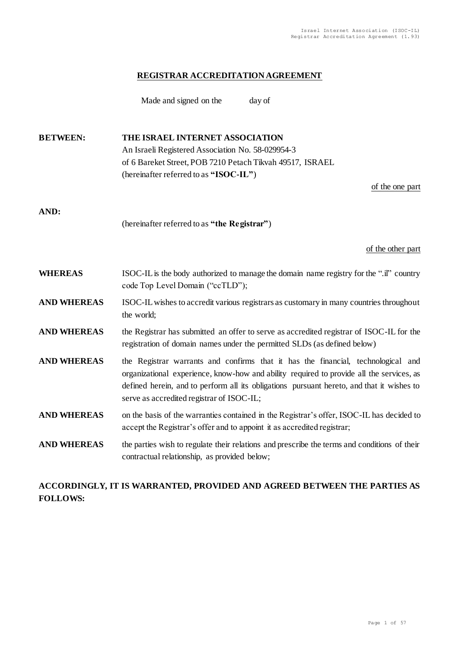### **REGISTRAR ACCREDITATION AGREEMENT**

Made and signed on the day of

**BETWEEN: THE ISRAEL INTERNET ASSOCIATION** An Israeli Registered Association No. 58-029954-3 of 6 Bareket Street, POB 7210 Petach Tikvah 49517, ISRAEL (hereinafter referred to as **"ISOC-IL"**) of the one part **AND:** (hereinafter referred to as **"the Registrar"**) of the other part **WHEREAS** ISOC-IL is the body authorized to manage the domain name registry for the ".il" country code Top Level Domain ("ccTLD"); **AND WHEREAS** ISOC-IL wishes to accredit various registrars as customary in many countries throughout the world; **AND WHEREAS** the Registrar has submitted an offer to serve as accredited registrar of ISOC-IL for the registration of domain names under the permitted SLDs (as defined below) **AND WHEREAS** the Registrar warrants and confirms that it has the financial, technological and organizational experience, know-how and ability required to provide all the services, as defined herein, and to perform all its obligations pursuant hereto, and that it wishes to serve as accredited registrar of ISOC-IL; **AND WHEREAS** on the basis of the warranties contained in the Registrar's offer, ISOC-IL has decided to accept the Registrar's offer and to appoint it as accredited registrar; **AND WHEREAS** the parties wish to regulate their relations and prescribe the terms and conditions of their contractual relationship, as provided below;

# **ACCORDINGLY, IT IS WARRANTED, PROVIDED AND AGREED BETWEEN THE PARTIES AS FOLLOWS:**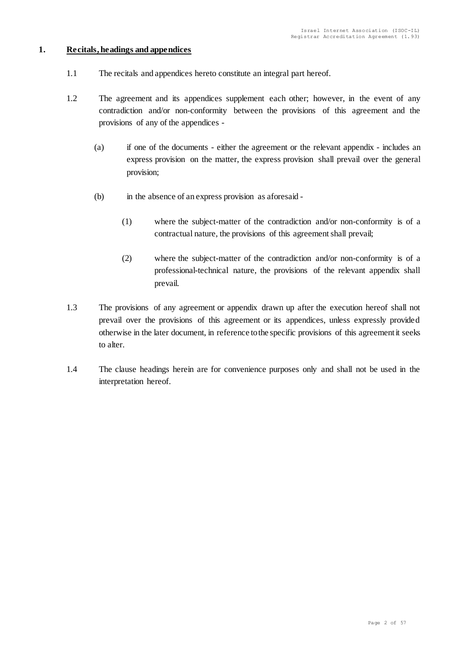# <span id="page-1-0"></span>**1. Recitals, headings and appendices**

- 1.1 The recitals and appendices hereto constitute an integral part hereof.
- 1.2 The agreement and its appendices supplement each other; however, in the event of any contradiction and/or non-conformity between the provisions of this agreement and the provisions of any of the appendices -
	- (a) if one of the documents either the agreement or the relevant appendix includes an express provision on the matter, the express provision shall prevail over the general provision;
	- (b) in the absence of an express provision as aforesaid
		- (1) where the subject-matter of the contradiction and/or non-conformity is of a contractual nature, the provisions of this agreement shall prevail;
		- (2) where the subject-matter of the contradiction and/or non-conformity is of a professional-technical nature, the provisions of the relevant appendix shall prevail.
- 1.3 The provisions of any agreement or appendix drawn up after the execution hereof shall not prevail over the provisions of this agreement or its appendices, unless expressly provided otherwise in the later document, in reference to the specific provisions of this agreement it seeks to alter.
- 1.4 The clause headings herein are for convenience purposes only and shall not be used in the interpretation hereof.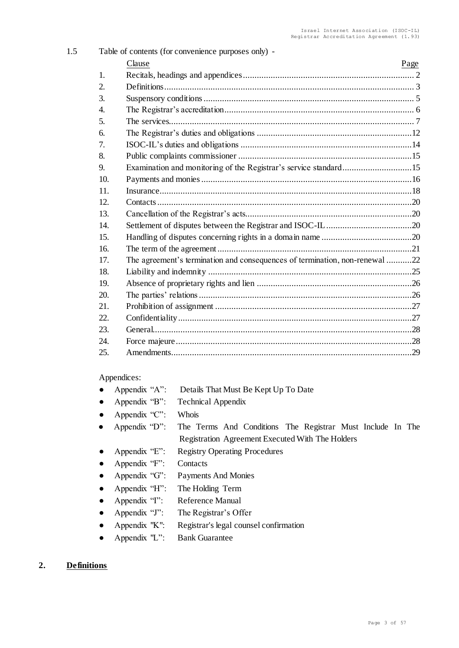| 1.5 |     | Table of contents (for convenience purposes only) -                         |      |  |  |
|-----|-----|-----------------------------------------------------------------------------|------|--|--|
|     |     | Clause                                                                      | Page |  |  |
|     | 1.  |                                                                             |      |  |  |
|     | 2.  |                                                                             |      |  |  |
|     | 3.  |                                                                             |      |  |  |
|     | 4.  |                                                                             |      |  |  |
|     | 5.  |                                                                             |      |  |  |
|     | 6.  |                                                                             |      |  |  |
|     | 7.  |                                                                             |      |  |  |
|     | 8.  |                                                                             |      |  |  |
|     | 9.  | Examination and monitoring of the Registrar's service standard15            |      |  |  |
|     | 10. |                                                                             |      |  |  |
|     | 11. |                                                                             |      |  |  |
|     | 12. |                                                                             |      |  |  |
|     | 13. |                                                                             |      |  |  |
|     | 14. |                                                                             |      |  |  |
|     | 15. |                                                                             |      |  |  |
|     | 16. |                                                                             |      |  |  |
|     | 17. | The agreement's termination and consequences of termination, non-renewal 22 |      |  |  |
|     | 18. |                                                                             |      |  |  |
|     | 19. |                                                                             |      |  |  |
|     | 20. |                                                                             |      |  |  |
|     | 21. |                                                                             |      |  |  |
|     | 22. |                                                                             |      |  |  |
|     | 23. |                                                                             |      |  |  |
|     | 24. |                                                                             |      |  |  |
|     | 25. |                                                                             |      |  |  |
|     |     |                                                                             |      |  |  |

#### Appendices:

- Appendix "A": Details That Must Be Kept Up To Date
- Appendix "B": Technical Appendix
- Appendix "C": Whois
- Appendix "D": The Terms And Conditions The Registrar Must Include In The Registration Agreement Executed With The Holders
- Appendix "E": Registry Operating Procedures
- Appendix "F": Contacts
- Appendix "G": Payments And Monies
- Appendix "H": The Holding Term
- Appendix "I": Reference Manual
- Appendix "J": The Registrar's Offer
- Appendix "K": Registrar's legal counsel confirmation
- Appendix "L": Bank Guarantee

# <span id="page-2-0"></span>**2. Definitions**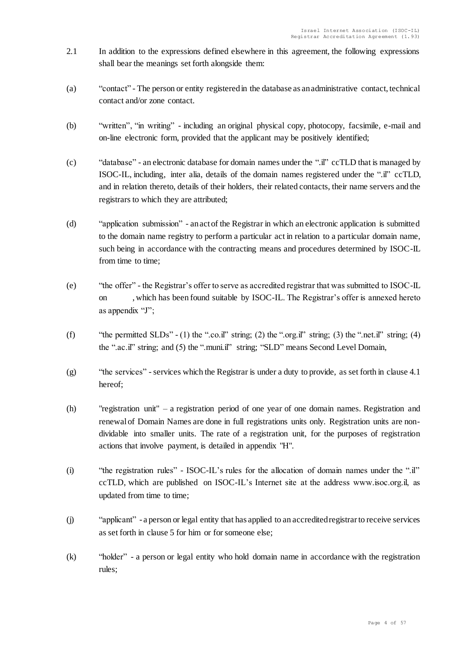- 2.1 In addition to the expressions defined elsewhere in this agreement, the following expressions shall bear the meanings set forth alongside them:
- (a) "contact" The person or entity registered in the database as an administrative contact, technical contact and/or zone contact.
- (b) "written", "in writing" including an original physical copy, photocopy, facsimile, e-mail and on-line electronic form, provided that the applicant may be positively identified;
- (c) "database" an electronic database for domain names under the ".il" ccTLD that is managed by ISOC-IL, including, inter alia, details of the domain names registered under the ".il" ccTLD, and in relation thereto, details of their holders, their related contacts, their name servers and the registrars to which they are attributed;
- (d) "application submission" an act of the Registrar in which an electronic application is submitted to the domain name registry to perform a particular act in relation to a particular domain name, such being in accordance with the contracting means and procedures determined by ISOC-IL from time to time;
- (e) "the offer" the Registrar's offer to serve as accredited registrar that was submitted to ISOC-IL on , which has been found suitable by ISOC-IL. The Registrar's offer is annexed hereto as appendix "J";
- (f) "the permitted SLDs" (1) the ".co.il" string; (2) the ".org.il" string; (3) the ".net.il" string; (4) the ".ac.il" string; and (5) the ".muni.il" string; "SLD" means Second Level Domain,
- (g) "the services" services which the Registrar is under a duty to provide, as set forth in clause 4.1 hereof;
- (h) "registration unit" a registration period of one year of one domain names. Registration and renewal of Domain Names are done in full registrations units only. Registration units are nondividable into smaller units. The rate of a registration unit, for the purposes of registration actions that involve payment, is detailed in appendix "H".
- (i) "the registration rules" ISOC-IL's rules for the allocation of domain names under the ".il" ccTLD, which are published on ISOC-IL's Internet site at the address www.isoc.org.il, as updated from time to time;
- (j) "applicant" a person or legal entity that has applied to an accredited registrar to receive services as set forth in clause 5 for him or for someone else;
- (k) "holder" a person or legal entity who hold domain name in accordance with the registration rules;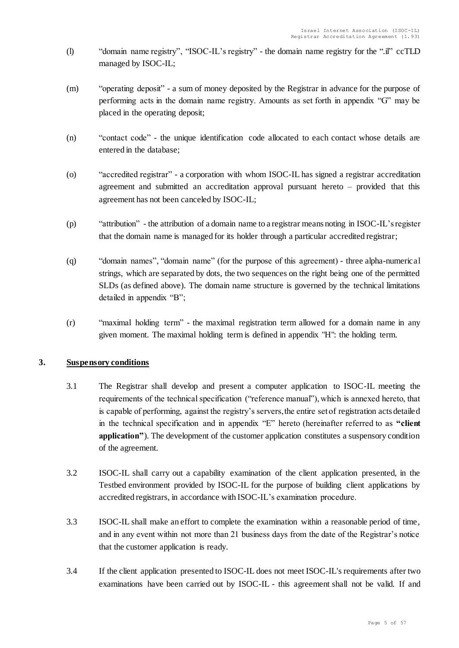- (l) "domain name registry", "ISOC-IL's registry" the domain name registry for the ".il" ccTLD managed by ISOC-IL;
- (m) "operating deposit" a sum of money deposited by the Registrar in advance for the purpose of performing acts in the domain name registry. Amounts as set forth in appendix "G" may be placed in the operating deposit;
- (n) "contact code" the unique identification code allocated to each contact whose details are entered in the database;
- (o) "accredited registrar" a corporation with whom ISOC-IL has signed a registrar accreditation agreement and submitted an accreditation approval pursuant hereto – provided that this agreement has not been canceled by ISOC-IL;
- (p) "attribution" the attribution of a domain name to a registrar means noting in ISOC-IL's register that the domain name is managed for its holder through a particular accredited registrar;
- (q) "domain names", "domain name" (for the purpose of this agreement) three alpha-numerical strings, which are separated by dots, the two sequences on the right being one of the permitted SLDs (as defined above). The domain name structure is governed by the technical limitations detailed in appendix "B";
- (r) "maximal holding term" the maximal registration term allowed for a domain name in any given moment. The maximal holding term is defined in appendix "H": the holding term.

# <span id="page-4-0"></span>**3. Suspensory conditions**

- 3.1 The Registrar shall develop and present a computer application to ISOC-IL meeting the requirements of the technical specification ("reference manual"), which is annexed hereto, that is capable of performing, against the registry's servers, the entire set of registration acts detailed in the technical specification and in appendix "E" hereto (hereinafter referred to as **"client application"**). The development of the customer application constitutes a suspensory condition of the agreement.
- 3.2 ISOC-IL shall carry out a capability examination of the client application presented, in the Testbed environment provided by ISOC-IL for the purpose of building client applications by accredited registrars, in accordance with ISOC-IL's examination procedure.
- 3.3 ISOC-IL shall make an effort to complete the examination within a reasonable period of time, and in any event within not more than 21 business days from the date of the Registrar's notice that the customer application is ready.
- 3.4 If the client application presented to ISOC-IL does not meet ISOC-IL's requirements after two examinations have been carried out by ISOC-IL - this agreement shall not be valid. If and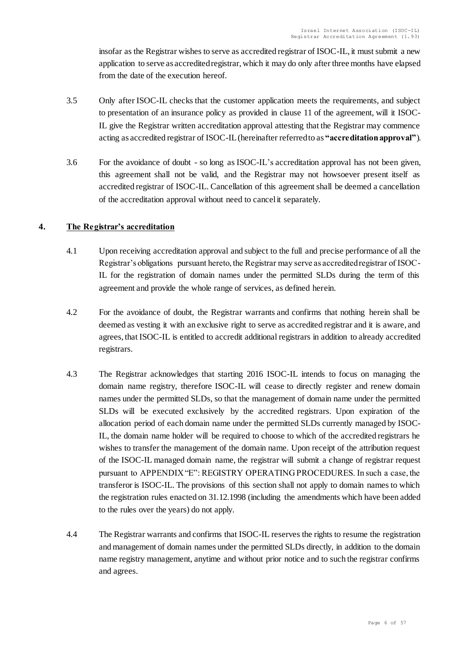insofar as the Registrar wishes to serve as accredited registrar of ISOC-IL, it must submit a new application to serve as accredited registrar, which it may do only after three months have elapsed from the date of the execution hereof.

- 3.5 Only after ISOC-IL checks that the customer application meets the requirements, and subject to presentation of an insurance policy as provided in clause [11](#page-17-0) of the agreement, will it ISOC-IL give the Registrar written accreditation approval attesting that the Registrar may commence acting as accredited registrar of ISOC-IL (hereinafter referred to as **"accreditation approval"**).
- 3.6 For the avoidance of doubt so long as ISOC-IL's accreditation approval has not been given, this agreement shall not be valid, and the Registrar may not howsoever present itself as accredited registrar of ISOC-IL. Cancellation of this agreement shall be deemed a cancellation of the accreditation approval without need to cancel it separately.

# <span id="page-5-0"></span>**4. The Registrar's accreditation**

- 4.1 Upon receiving accreditation approval and subject to the full and precise performance of all the Registrar's obligations pursuant hereto, the Registrar may serve as accredited registrar of ISOC-IL for the registration of domain names under the permitted SLDs during the term of this agreement and provide the whole range of services, as defined herein.
- 4.2 For the avoidance of doubt, the Registrar warrants and confirms that nothing herein shall be deemed as vesting it with an exclusive right to serve as accredited registrar and it is aware, and agrees, that ISOC-IL is entitled to accredit additional registrars in addition to already accredited registrars.
- 4.3 The Registrar acknowledges that starting 2016 ISOC-IL intends to focus on managing the domain name registry, therefore ISOC-IL will cease to directly register and renew domain names under the permitted SLDs, so that the management of domain name under the permitted SLDs will be executed exclusively by the accredited registrars. Upon expiration of the allocation period of each domain name under the permitted SLDs currently managed by ISOC-IL, the domain name holder will be required to choose to which of the accredited registrars he wishes to transfer the management of the domain name. Upon receipt of the attribution request of the ISOC-IL managed domain name, the registrar will submit a change of registrar request pursuant to APPENDIX "E": REGISTRY OPERATING PROCEDURES. In such a case, the transferor is ISOC-IL. The provisions of this section shall not apply to domain names to which the registration rules enacted on 31.12.1998 (including the amendments which have been added to the rules over the years) do not apply.
- 4.4 The Registrar warrants and confirms that ISOC-IL reserves the rights to resume the registration and management of domain names under the permitted SLDs directly, in addition to the domain name registry management, anytime and without prior notice and to such the registrar confirms and agrees.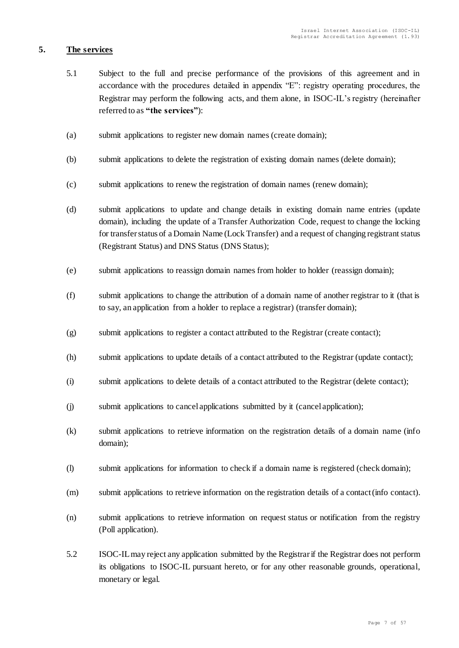# <span id="page-6-0"></span>**5. The services**

- 5.1 Subject to the full and precise performance of the provisions of this agreement and in accordance with the procedures detailed in appendix "E": registry operating procedures, the Registrar may perform the following acts, and them alone, in ISOC-IL's registry (hereinafter referred to as **"the services"**):
- (a) submit applications to register new domain names (create domain);
- (b) submit applications to delete the registration of existing domain names (delete domain);
- (c) submit applications to renew the registration of domain names (renew domain);
- (d) submit applications to update and change details in existing domain name entries (update domain), including the update of a Transfer Authorization Code, request to change the locking for transfer status of a Domain Name (Lock Transfer) and a request of changing registrant status (Registrant Status) and DNS Status (DNS Status);
- (e) submit applications to reassign domain names from holder to holder (reassign domain);
- (f) submit applications to change the attribution of a domain name of another registrar to it (that is to say, an application from a holder to replace a registrar) (transfer domain);
- (g) submit applications to register a contact attributed to the Registrar (create contact);
- (h) submit applications to update details of a contact attributed to the Registrar (update contact);
- (i) submit applications to delete details of a contact attributed to the Registrar (delete contact);
- (j) submit applications to cancel applications submitted by it (cancel application);
- (k) submit applications to retrieve information on the registration details of a domain name (info domain);
- (l) submit applications for information to check if a domain name is registered (check domain);
- (m) submit applications to retrieve information on the registration details of a contact (info contact).
- (n) submit applications to retrieve information on request status or notification from the registry (Poll application).
- 5.2 ISOC-IL may reject any application submitted by the Registrar if the Registrar does not perform its obligations to ISOC-IL pursuant hereto, or for any other reasonable grounds, operational, monetary or legal.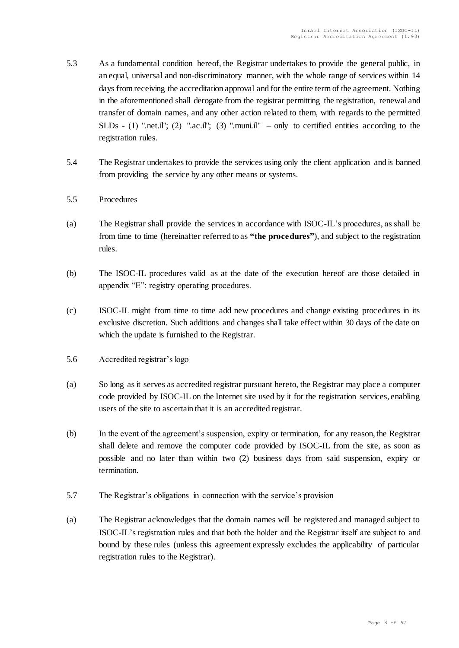- 5.3 As a fundamental condition hereof, the Registrar undertakes to provide the general public, in an equal, universal and non-discriminatory manner, with the whole range of services within 14 days from receiving the accreditation approval and for the entire term of the agreement. Nothing in the aforementioned shall derogate from the registrar permitting the registration, renewal and transfer of domain names, and any other action related to them, with regards to the permitted SLDs - (1) ".net.il"; (2) ".ac.il"; (3) ".muni.il" – only to certified entities according to the registration rules.
- 5.4 The Registrar undertakes to provide the services using only the client application and is banned from providing the service by any other means or systems.
- 5.5 Procedures
- (a) The Registrar shall provide the services in accordance with ISOC-IL's procedures, as shall be from time to time (hereinafter referred to as **"the procedures"**), and subject to the registration rules.
- (b) The ISOC-IL procedures valid as at the date of the execution hereof are those detailed in appendix "E": registry operating procedures.
- (c) ISOC-IL might from time to time add new procedures and change existing procedures in its exclusive discretion. Such additions and changes shall take effect within 30 days of the date on which the update is furnished to the Registrar.
- 5.6 Accredited registrar's logo
- (a) So long as it serves as accredited registrar pursuant hereto, the Registrar may place a computer code provided by ISOC-IL on the Internet site used by it for the registration services, enabling users of the site to ascertain that it is an accredited registrar.
- (b) In the event of the agreement's suspension, expiry or termination, for any reason, the Registrar shall delete and remove the computer code provided by ISOC-IL from the site, as soon as possible and no later than within two (2) business days from said suspension, expiry or termination.
- 5.7 The Registrar's obligations in connection with the service's provision
- (a) The Registrar acknowledges that the domain names will be registered and managed subject to ISOC-IL's registration rules and that both the holder and the Registrar itself are subject to and bound by these rules (unless this agreement expressly excludes the applicability of particular registration rules to the Registrar).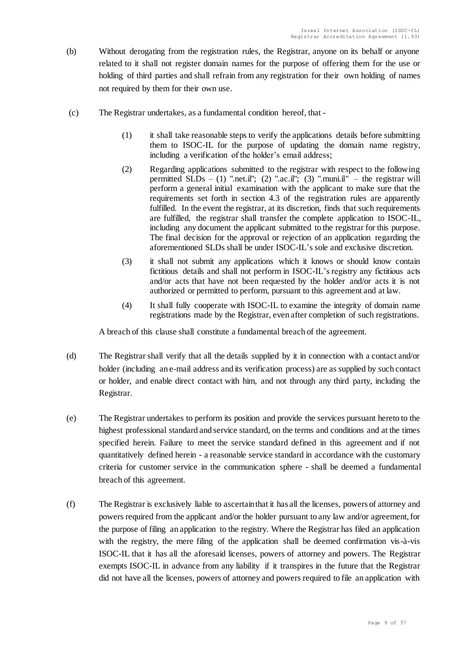- (b) Without derogating from the registration rules, the Registrar, anyone on its behalf or anyone related to it shall not register domain names for the purpose of offering them for the use or holding of third parties and shall refrain from any registration for their own holding of names not required by them for their own use.
- (c) The Registrar undertakes, as a fundamental condition hereof, that
	- (1) it shall take reasonable steps to verify the applications details before submitting them to ISOC-IL for the purpose of updating the domain name registry, including a verification of the holder's email address;
	- (2) Regarding applications submitted to the registrar with respect to the following permitted  $\widehat{SLDs}$  – (1) ".net.il"; (2) ".ac.il"; (3) ".muni.il" – the registrar will perform a general initial examination with the applicant to make sure that the requirements set forth in section 4.3 of the registration rules are apparently fulfilled. In the event the registrar, at its discretion, finds that such requirements are fulfilled, the registrar shall transfer the complete application to ISOC-IL, including any document the applicant submitted to the registrar for this purpose. The final decision for the approval or rejection of an application regarding the aforementioned SLDs shall be under ISOC-IL's sole and exclusive discretion.
	- (3) it shall not submit any applications which it knows or should know contain fictitious details and shall not perform in ISOC-IL's registry any fictitious acts and/or acts that have not been requested by the holder and/or acts it is not authorized or permitted to perform, pursuant to this agreement and at law.
	- (4) It shall fully cooperate with ISOC-IL to examine the integrity of domain name registrations made by the Registrar, even after completion of such registrations.

A breach of this clause shall constitute a fundamental breach of the agreement.

- (d) The Registrar shall verify that all the details supplied by it in connection with a contact and/or holder (including an e-mail address and its verification process) are as supplied by such contact or holder, and enable direct contact with him, and not through any third party, including the Registrar.
- (e) The Registrar undertakes to perform its position and provide the services pursuant hereto to the highest professional standard and service standard, on the terms and conditions and at the times specified herein. Failure to meet the service standard defined in this agreement and if not quantitatively defined herein - a reasonable service standard in accordance with the customary criteria for customer service in the communication sphere - shall be deemed a fundamental breach of this agreement.
- (f) The Registrar is exclusively liable to ascertain that it has all the licenses, powers of attorney and powers required from the applicant and/or the holder pursuant to any law and/or agreement, for the purpose of filing an application to the registry. Where the Registrar has filed an application with the registry, the mere filing of the application shall be deemed confirmation vis-à-vis ISOC-IL that it has all the aforesaid licenses, powers of attorney and powers. The Registrar exempts ISOC-IL in advance from any liability if it transpires in the future that the Registrar did not have all the licenses, powers of attorney and powers required to file an application with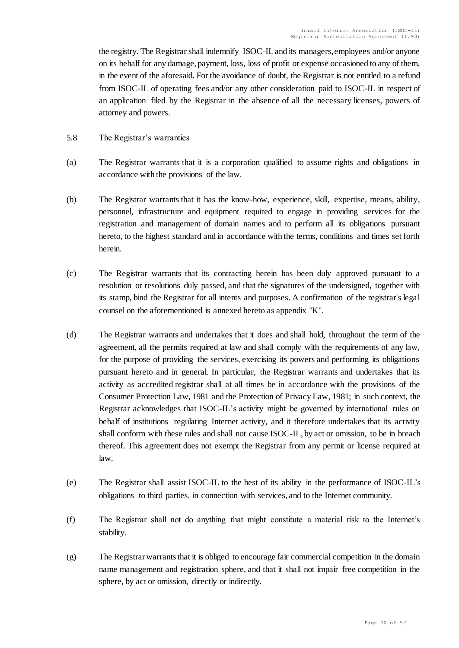the registry. The Registrar shall indemnify ISOC-ILand its managers, employees and/or anyone on its behalf for any damage, payment, loss, loss of profit or expense occasioned to any of them, in the event of the aforesaid. For the avoidance of doubt, the Registrar is not entitled to a refund from ISOC-IL of operating fees and/or any other consideration paid to ISOC-IL in respect of an application filed by the Registrar in the absence of all the necessary licenses, powers of attorney and powers.

- 5.8 The Registrar's warranties
- (a) The Registrar warrants that it is a corporation qualified to assume rights and obligations in accordance with the provisions of the law.
- (b) The Registrar warrants that it has the know-how, experience, skill, expertise, means, ability, personnel, infrastructure and equipment required to engage in providing services for the registration and management of domain names and to perform all its obligations pursuant hereto, to the highest standard and in accordance with the terms, conditions and times set forth herein.
- (c) The Registrar warrants that its contracting herein has been duly approved pursuant to a resolution or resolutions duly passed, and that the signatures of the undersigned, together with its stamp, bind the Registrar for all intents and purposes. A confirmation of the registrar's legal counsel on the aforementioned is annexed hereto as appendix "K".
- (d) The Registrar warrants and undertakes that it does and shall hold, throughout the term of the agreement, all the permits required at law and shall comply with the requirements of any law, for the purpose of providing the services, exercising its powers and performing its obligations pursuant hereto and in general. In particular, the Registrar warrants and undertakes that its activity as accredited registrar shall at all times be in accordance with the provisions of the Consumer Protection Law, 1981 and the Protection of Privacy Law, 1981; in such context, the Registrar acknowledges that ISOC-IL's activity might be governed by international rules on behalf of institutions regulating Internet activity, and it therefore undertakes that its activity shall conform with these rules and shall not cause ISOC-IL, by act or omission, to be in breach thereof. This agreement does not exempt the Registrar from any permit or license required at law.
- (e) The Registrar shall assist ISOC-IL to the best of its ability in the performance of ISOC-IL's obligations to third parties, in connection with services, and to the Internet community.
- (f) The Registrar shall not do anything that might constitute a material risk to the Internet's stability.
- (g) The Registrar warrants that it is obliged to encourage fair commercial competition in the domain name management and registration sphere, and that it shall not impair free competition in the sphere, by act or omission, directly or indirectly.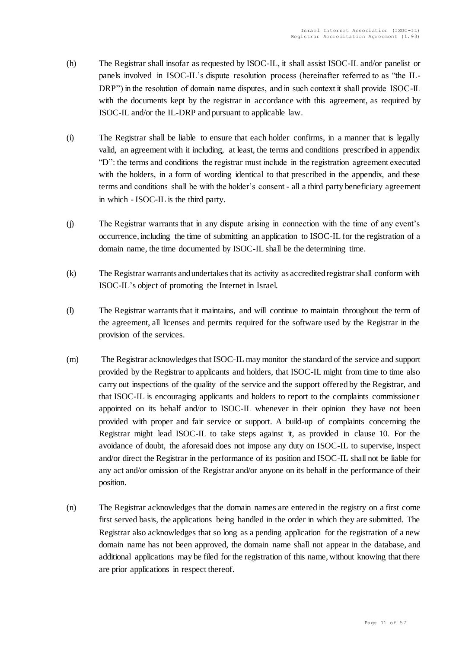- (h) The Registrar shall insofar as requested by ISOC-IL, it shall assist ISOC-IL and/or panelist or panels involved in ISOC-IL's dispute resolution process (hereinafter referred to as "the IL-DRP") in the resolution of domain name disputes, and in such context it shall provide ISOC-IL with the documents kept by the registrar in accordance with this agreement, as required by ISOC-IL and/or the IL-DRP and pursuant to applicable law.
- (i) The Registrar shall be liable to ensure that each holder confirms, in a manner that is legally valid, an agreement with it including, at least, the terms and conditions prescribed in appendix "D": the terms and conditions the registrar must include in the registration agreement executed with the holders, in a form of wording identical to that prescribed in the appendix, and these terms and conditions shall be with the holder's consent - all a third party beneficiary agreement in which - ISOC-IL is the third party.
- (j) The Registrar warrants that in any dispute arising in connection with the time of any event's occurrence, including the time of submitting an application to ISOC-IL for the registration of a domain name, the time documented by ISOC-IL shall be the determining time.
- (k) The Registrar warrants and undertakes that its activity as accredited registrar shall conform with ISOC-IL's object of promoting the Internet in Israel.
- (l) The Registrar warrants that it maintains, and will continue to maintain throughout the term of the agreement, all licenses and permits required for the software used by the Registrar in the provision of the services.
- (m) The Registrar acknowledges that ISOC-IL may monitor the standard of the service and support provided by the Registrar to applicants and holders, that ISOC-IL might from time to time also carry out inspections of the quality of the service and the support offered by the Registrar, and that ISOC-IL is encouraging applicants and holders to report to the complaints commissioner appointed on its behalf and/or to ISOC-IL whenever in their opinion they have not been provided with proper and fair service or support. A build-up of complaints concerning the Registrar might lead ISOC-IL to take steps against it, as provided in clause 10. For the avoidance of doubt, the aforesaid does not impose any duty on ISOC-IL to supervise, inspect and/or direct the Registrar in the performance of its position and ISOC-IL shall not be liable for any act and/or omission of the Registrar and/or anyone on its behalf in the performance of their position.
- (n) The Registrar acknowledges that the domain names are entered in the registry on a first come first served basis, the applications being handled in the order in which they are submitted. The Registrar also acknowledges that so long as a pending application for the registration of a new domain name has not been approved, the domain name shall not appear in the database, and additional applications may be filed for the registration of this name, without knowing that there are prior applications in respect thereof.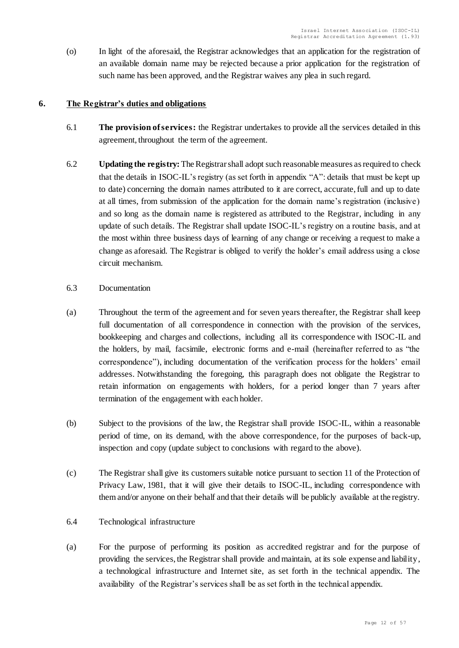(o) In light of the aforesaid, the Registrar acknowledges that an application for the registration of an available domain name may be rejected because a prior application for the registration of such name has been approved, and the Registrar waives any plea in such regard.

# <span id="page-11-0"></span>**6. The Registrar's duties and obligations**

- 6.1 **The provision of services:** the Registrar undertakes to provide all the services detailed in this agreement, throughout the term of the agreement.
- 6.2 **Updating the registry:** The Registrar shall adopt such reasonable measures asrequired to check that the details in ISOC-IL's registry (as set forth in appendix "A": details that must be kept up to date) concerning the domain names attributed to it are correct, accurate, full and up to date at all times, from submission of the application for the domain name's registration (inclusive) and so long as the domain name is registered as attributed to the Registrar, including in any update of such details. The Registrar shall update ISOC-IL's registry on a routine basis, and at the most within three business days of learning of any change or receiving a request to make a change as aforesaid. The Registrar is obliged to verify the holder's email address using a close circuit mechanism.
- 6.3 Documentation
- (a) Throughout the term of the agreement and for seven years thereafter, the Registrar shall keep full documentation of all correspondence in connection with the provision of the services, bookkeeping and charges and collections, including all its correspondence with ISOC-IL and the holders, by mail, facsimile, electronic forms and e-mail (hereinafter referred to as "the correspondence"), including documentation of the verification process for the holders' email addresses. Notwithstanding the foregoing, this paragraph does not obligate the Registrar to retain information on engagements with holders, for a period longer than 7 years after termination of the engagement with each holder.
- (b) Subject to the provisions of the law, the Registrar shall provide ISOC-IL, within a reasonable period of time, on its demand, with the above correspondence, for the purposes of back-up, inspection and copy (update subject to conclusions with regard to the above).
- (c) The Registrar shall give its customers suitable notice pursuant to section 11 of the Protection of Privacy Law, 1981, that it will give their details to ISOC-IL, including correspondence with them and/or anyone on their behalf and that their details will be publicly available at the registry.
- 6.4 Technological infrastructure
- (a) For the purpose of performing its position as accredited registrar and for the purpose of providing the services, the Registrar shall provide and maintain, at its sole expense and liability, a technological infrastructure and Internet site, as set forth in the technical appendix. The availability of the Registrar's services shall be as set forth in the technical appendix.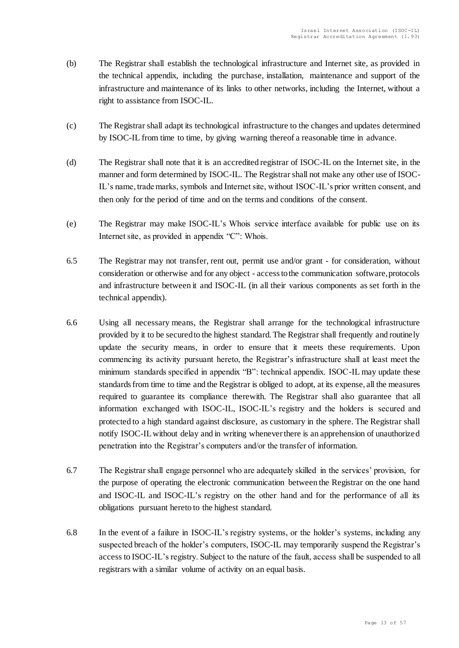- (b) The Registrar shall establish the technological infrastructure and Internet site, as provided in the technical appendix, including the purchase, installation, maintenance and support of the infrastructure and maintenance of its links to other networks, including the Internet, without a right to assistance from ISOC-IL.
- (c) The Registrar shall adapt its technological infrastructure to the changes and updates determined by ISOC-IL from time to time, by giving warning thereof a reasonable time in advance.
- (d) The Registrar shall note that it is an accredited registrar of ISOC-IL on the Internet site, in the manner and form determined by ISOC-IL. The Registrar shall not make any other use of ISOC-IL's name, trade marks, symbols and Internet site, without ISOC-IL's prior written consent, and then only for the period of time and on the terms and conditions of the consent.
- (e) The Registrar may make ISOC-IL's Whois service interface available for public use on its Internet site, as provided in appendix "C": Whois.
- 6.5 The Registrar may not transfer, rent out, permit use and/or grant for consideration, without consideration or otherwise and for any object - access to the communication software, protocols and infrastructure between it and ISOC-IL (in all their various components as set forth in the technical appendix).
- 6.6 Using all necessary means, the Registrar shall arrange for the technological infrastructure provided by it to be secured to the highest standard. The Registrar shall frequently and routinely update the security means, in order to ensure that it meets these requirements. Upon commencing its activity pursuant hereto, the Registrar's infrastructure shall at least meet the minimum standards specified in appendix "B": technical appendix. ISOC-IL may update these standards from time to time and the Registrar is obliged to adopt, at its expense, all the measures required to guarantee its compliance therewith. The Registrar shall also guarantee that all information exchanged with ISOC-IL, ISOC-IL's registry and the holders is secured and protected to a high standard against disclosure, as customary in the sphere. The Registrar shall notify ISOC-IL without delay and in writing whenever there is an apprehension of unauthorized penetration into the Registrar's computers and/or the transfer of information.
- 6.7 The Registrar shall engage personnel who are adequately skilled in the services' provision, for the purpose of operating the electronic communication between the Registrar on the one hand and ISOC-IL and ISOC-IL's registry on the other hand and for the performance of all its obligations pursuant hereto to the highest standard.
- 6.8 In the event of a failure in ISOC-IL's registry systems, or the holder's systems, including any suspected breach of the holder's computers, ISOC-IL may temporarily suspend the Registrar's access to ISOC-IL's registry. Subject to the nature of the fault, access shall be suspended to all registrars with a similar volume of activity on an equal basis.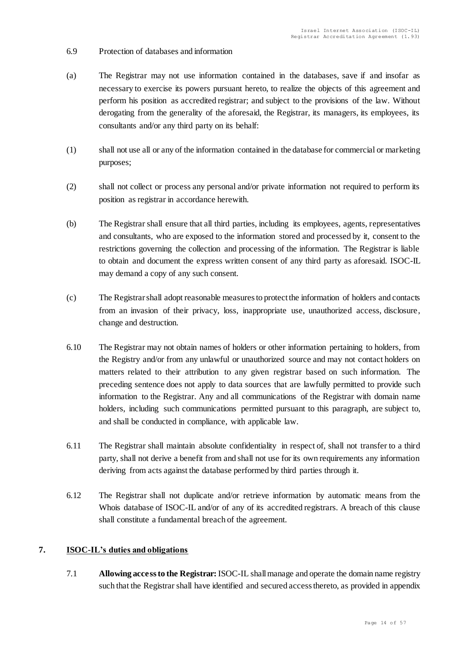- 6.9 Protection of databases and information
- (a) The Registrar may not use information contained in the databases, save if and insofar as necessary to exercise its powers pursuant hereto, to realize the objects of this agreement and perform his position as accredited registrar; and subject to the provisions of the law. Without derogating from the generality of the aforesaid, the Registrar, its managers, its employees, its consultants and/or any third party on its behalf:
- (1) shall not use all or any of the information contained in the database for commercial or marketing purposes;
- (2) shall not collect or process any personal and/or private information not required to perform its position as registrar in accordance herewith.
- (b) The Registrar shall ensure that all third parties, including its employees, agents, representatives and consultants, who are exposed to the information stored and processed by it, consent to the restrictions governing the collection and processing of the information. The Registrar is liable to obtain and document the express written consent of any third party as aforesaid. ISOC-IL may demand a copy of any such consent.
- (c) The Registrar shall adopt reasonable measures to protect the information of holders and contacts from an invasion of their privacy, loss, inappropriate use, unauthorized access, disclosure, change and destruction.
- 6.10 The Registrar may not obtain names of holders or other information pertaining to holders, from the Registry and/or from any unlawful or unauthorized source and may not contact holders on matters related to their attribution to any given registrar based on such information. The preceding sentence does not apply to data sources that are lawfully permitted to provide such information to the Registrar. Any and all communications of the Registrar with domain name holders, including such communications permitted pursuant to this paragraph, are subject to, and shall be conducted in compliance, with applicable law.
- 6.11 The Registrar shall maintain absolute confidentiality in respect of, shall not transfer to a third party, shall not derive a benefit from and shall not use for its own requirements any information deriving from acts against the database performed by third parties through it.
- 6.12 The Registrar shall not duplicate and/or retrieve information by automatic means from the Whois database of ISOC-IL and/or of any of its accredited registrars. A breach of this clause shall constitute a fundamental breach of the agreement.

# <span id="page-13-0"></span>**7. ISOC-IL's duties and obligations**

7.1 **Allowing access to the Registrar:**ISOC-IL shall manage and operate the domain name registry such that the Registrar shall have identified and secured access thereto, as provided in appendix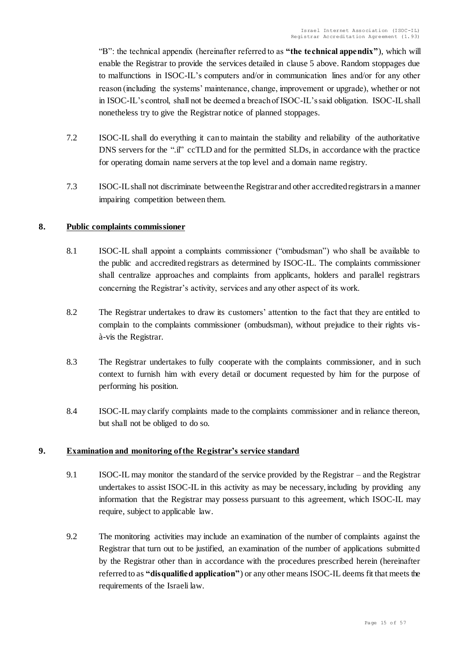"B": the technical appendix (hereinafter referred to as **"the technical appendix"**), which will enable the Registrar to provide the services detailed in clause 5 above. Random stoppages due to malfunctions in ISOC-IL's computers and/or in communication lines and/or for any other reason (including the systems' maintenance, change, improvement or upgrade), whether or not in ISOC-IL's control, shall not be deemed a breach of ISOC-IL's said obligation. ISOC-IL shall nonetheless try to give the Registrar notice of planned stoppages.

- 7.2 ISOC-IL shall do everything it can to maintain the stability and reliability of the authoritative DNS servers for the ".il" ccTLD and for the permitted SLDs, in accordance with the practice for operating domain name servers at the top level and a domain name registry.
- 7.3 ISOC-IL shall not discriminate between the Registrar and other accredited registrars in a manner impairing competition between them.

# <span id="page-14-0"></span>**8. Public complaints commissioner**

- 8.1 ISOC-IL shall appoint a complaints commissioner ("ombudsman") who shall be available to the public and accredited registrars as determined by ISOC-IL. The complaints commissioner shall centralize approaches and complaints from applicants, holders and parallel registrars concerning the Registrar's activity, services and any other aspect of its work.
- 8.2 The Registrar undertakes to draw its customers' attention to the fact that they are entitled to complain to the complaints commissioner (ombudsman), without prejudice to their rights visà-vis the Registrar.
- 8.3 The Registrar undertakes to fully cooperate with the complaints commissioner, and in such context to furnish him with every detail or document requested by him for the purpose of performing his position.
- 8.4 ISOC-IL may clarify complaints made to the complaints commissioner and in reliance thereon, but shall not be obliged to do so.

# <span id="page-14-1"></span>**9. Examination and monitoring of the Registrar's service standard**

- 9.1 ISOC-IL may monitor the standard of the service provided by the Registrar and the Registrar undertakes to assist ISOC-IL in this activity as may be necessary, including by providing any information that the Registrar may possess pursuant to this agreement, which ISOC-IL may require, subject to applicable law.
- 9.2 The monitoring activities may include an examination of the number of complaints against the Registrar that turn out to be justified, an examination of the number of applications submitted by the Registrar other than in accordance with the procedures prescribed herein (hereinafter referred to as **"disqualified application"**) or any other means ISOC-IL deems fit that meets the requirements of the Israeli law.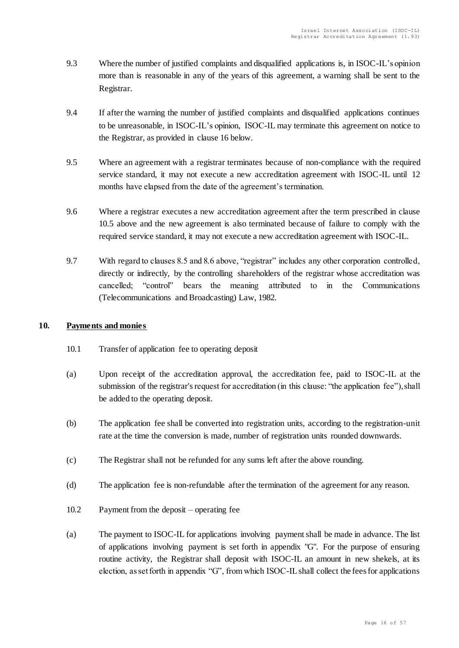- 9.3 Where the number of justified complaints and disqualified applications is, in ISOC-IL's opinion more than is reasonable in any of the years of this agreement, a warning shall be sent to the Registrar.
- 9.4 If after the warning the number of justified complaints and disqualified applications continues to be unreasonable, in ISOC-IL's opinion, ISOC-IL may terminate this agreement on notice to the Registrar, as provided in clause 16 below.
- 9.5 Where an agreement with a registrar terminates because of non-compliance with the required service standard, it may not execute a new accreditation agreement with ISOC-IL until 12 months have elapsed from the date of the agreement's termination.
- 9.6 Where a registrar executes a new accreditation agreement after the term prescribed in clause 10.5 above and the new agreement is also terminated because of failure to comply with the required service standard, it may not execute a new accreditation agreement with ISOC-IL.
- 9.7 With regard to clauses 8.5 and 8.6 above, "registrar" includes any other corporation controlled, directly or indirectly, by the controlling shareholders of the registrar whose accreditation was cancelled; "control" bears the meaning attributed to in the Communications (Telecommunications and Broadcasting) Law, 1982.

# <span id="page-15-0"></span>**10. Payments and monies**

- 10.1 Transfer of application fee to operating deposit
- (a) Upon receipt of the accreditation approval, the accreditation fee, paid to ISOC-IL at the submission of the registrar's request for accreditation (in this clause: "the application fee"), shall be added to the operating deposit.
- (b) The application fee shall be converted into registration units, according to the registration-unit rate at the time the conversion is made, number of registration units rounded downwards.
- (c) The Registrar shall not be refunded for any sums left after the above rounding.
- (d) The application fee is non-refundable after the termination of the agreement for any reason.
- 10.2 Payment from the deposit operating fee
- (a) The payment to ISOC-IL for applications involving payment shall be made in advance. The list of applications involving payment is set forth in appendix "G". For the purpose of ensuring routine activity, the Registrar shall deposit with ISOC-IL an amount in new shekels, at its election, as set forth in appendix "G", from which ISOC-IL shall collect the fees for applications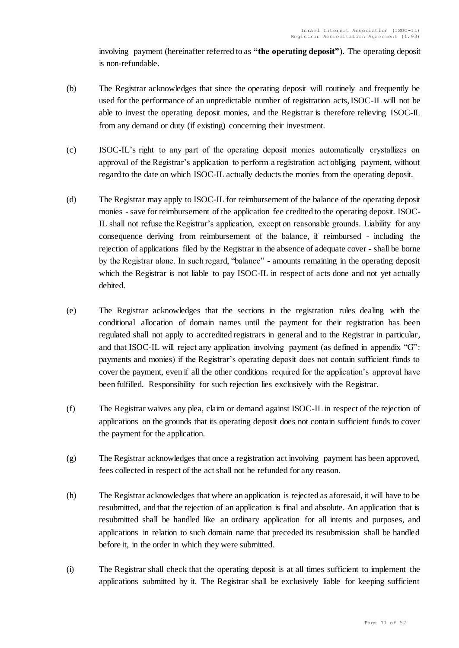involving payment (hereinafter referred to as **"the operating deposit"**). The operating deposit is non-refundable.

- (b) The Registrar acknowledges that since the operating deposit will routinely and frequently be used for the performance of an unpredictable number of registration acts, ISOC-IL will not be able to invest the operating deposit monies, and the Registrar is therefore relieving ISOC-IL from any demand or duty (if existing) concerning their investment.
- (c) ISOC-IL's right to any part of the operating deposit monies automatically crystallizes on approval of the Registrar's application to perform a registration act obliging payment, without regard to the date on which ISOC-IL actually deducts the monies from the operating deposit.
- (d) The Registrar may apply to ISOC-IL for reimbursement of the balance of the operating deposit monies - save for reimbursement of the application fee credited to the operating deposit. ISOC-IL shall not refuse the Registrar's application, except on reasonable grounds. Liability for any consequence deriving from reimbursement of the balance, if reimbursed - including the rejection of applications filed by the Registrar in the absence of adequate cover - shall be borne by the Registrar alone. In such regard, "balance" - amounts remaining in the operating deposit which the Registrar is not liable to pay ISOC-IL in respect of acts done and not yet actually debited.
- (e) The Registrar acknowledges that the sections in the registration rules dealing with the conditional allocation of domain names until the payment for their registration has been regulated shall not apply to accredited registrars in general and to the Registrar in particular, and that ISOC-IL will reject any application involving payment (as defined in appendix "G": payments and monies) if the Registrar's operating deposit does not contain sufficient funds to cover the payment, even if all the other conditions required for the application's approval have been fulfilled. Responsibility for such rejection lies exclusively with the Registrar.
- (f) The Registrar waives any plea, claim or demand against ISOC-IL in respect of the rejection of applications on the grounds that its operating deposit does not contain sufficient funds to cover the payment for the application.
- (g) The Registrar acknowledges that once a registration act involving payment has been approved, fees collected in respect of the act shall not be refunded for any reason.
- (h) The Registrar acknowledges that where an application is rejected as aforesaid, it will have to be resubmitted, and that the rejection of an application is final and absolute. An application that is resubmitted shall be handled like an ordinary application for all intents and purposes, and applications in relation to such domain name that preceded its resubmission shall be handled before it, in the order in which they were submitted.
- (i) The Registrar shall check that the operating deposit is at all times sufficient to implement the applications submitted by it. The Registrar shall be exclusively liable for keeping sufficient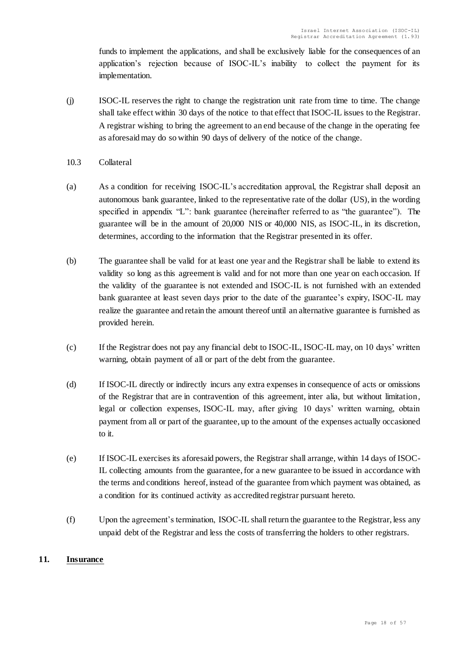funds to implement the applications, and shall be exclusively liable for the consequences of an application's rejection because of ISOC-IL's inability to collect the payment for its implementation.

(j) ISOC-IL reserves the right to change the registration unit rate from time to time. The change shall take effect within 30 days of the notice to that effect that ISOC-IL issues to the Registrar. A registrar wishing to bring the agreement to an end because of the change in the operating fee as aforesaid may do so within 90 days of delivery of the notice of the change.

# 10.3 Collateral

- (a) As a condition for receiving ISOC-IL's accreditation approval, the Registrar shall deposit an autonomous bank guarantee, linked to the representative rate of the dollar (US), in the wording specified in appendix "L": bank guarantee (hereinafter referred to as "the guarantee"). The guarantee will be in the amount of 20,000 NIS or 40,000 NIS, as ISOC-IL, in its discretion, determines, according to the information that the Registrar presented in its offer.
- (b) The guarantee shall be valid for at least one year and the Registrar shall be liable to extend its validity so long as this agreement is valid and for not more than one year on each occasion. If the validity of the guarantee is not extended and ISOC-IL is not furnished with an extended bank guarantee at least seven days prior to the date of the guarantee's expiry, ISOC-IL may realize the guarantee and retain the amount thereof until an alternative guarantee is furnished as provided herein.
- (c) If the Registrar does not pay any financial debt to ISOC-IL, ISOC-IL may, on 10 days' written warning, obtain payment of all or part of the debt from the guarantee.
- (d) If ISOC-IL directly or indirectly incurs any extra expenses in consequence of acts or omissions of the Registrar that are in contravention of this agreement, inter alia, but without limitation, legal or collection expenses, ISOC-IL may, after giving 10 days' written warning, obtain payment from all or part of the guarantee, up to the amount of the expenses actually occasioned to it.
- (e) If ISOC-IL exercises its aforesaid powers, the Registrar shall arrange, within 14 days of ISOC-IL collecting amounts from the guarantee, for a new guarantee to be issued in accordance with the terms and conditions hereof, instead of the guarantee from which payment was obtained, as a condition for its continued activity as accredited registrar pursuant hereto.
- (f) Upon the agreement's termination, ISOC-IL shall return the guarantee to the Registrar, less any unpaid debt of the Registrar and less the costs of transferring the holders to other registrars.

# <span id="page-17-0"></span>**11. Insurance**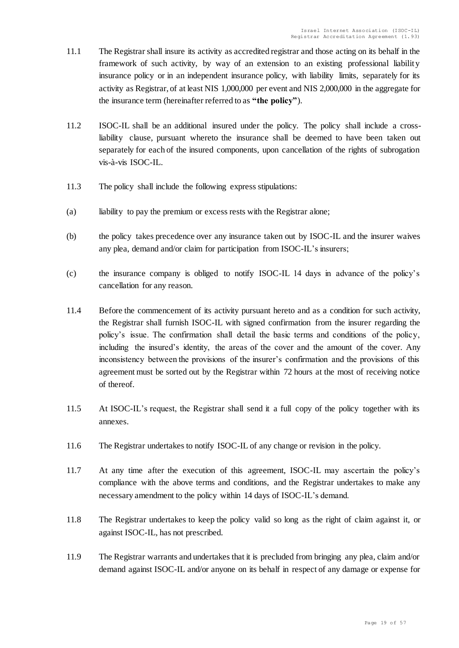- 11.1 The Registrar shall insure its activity as accredited registrar and those acting on its behalf in the framework of such activity, by way of an extension to an existing professional liability insurance policy or in an independent insurance policy, with liability limits, separately for its activity as Registrar, of at least NIS 1,000,000 per event and NIS 2,000,000 in the aggregate for the insurance term (hereinafter referred to as **"the policy"**).
- 11.2 ISOC-IL shall be an additional insured under the policy. The policy shall include a crossliability clause, pursuant whereto the insurance shall be deemed to have been taken out separately for each of the insured components, upon cancellation of the rights of subrogation vis-à-vis ISOC-IL.
- 11.3 The policy shall include the following express stipulations:
- (a) liability to pay the premium or excess rests with the Registrar alone;
- (b) the policy takes precedence over any insurance taken out by ISOC-IL and the insurer waives any plea, demand and/or claim for participation from ISOC-IL's insurers;
- (c) the insurance company is obliged to notify ISOC-IL 14 days in advance of the policy's cancellation for any reason.
- 11.4 Before the commencement of its activity pursuant hereto and as a condition for such activity, the Registrar shall furnish ISOC-IL with signed confirmation from the insurer regarding the policy's issue. The confirmation shall detail the basic terms and conditions of the policy, including the insured's identity, the areas of the cover and the amount of the cover. Any inconsistency between the provisions of the insurer's confirmation and the provisions of this agreement must be sorted out by the Registrar within 72 hours at the most of receiving notice of thereof.
- 11.5 At ISOC-IL's request, the Registrar shall send it a full copy of the policy together with its annexes.
- 11.6 The Registrar undertakes to notify ISOC-IL of any change or revision in the policy.
- 11.7 At any time after the execution of this agreement, ISOC-IL may ascertain the policy's compliance with the above terms and conditions, and the Registrar undertakes to make any necessary amendment to the policy within 14 days of ISOC-IL's demand.
- 11.8 The Registrar undertakes to keep the policy valid so long as the right of claim against it, or against ISOC-IL, has not prescribed.
- 11.9 The Registrar warrants and undertakes that it is precluded from bringing any plea, claim and/or demand against ISOC-IL and/or anyone on its behalf in respect of any damage or expense for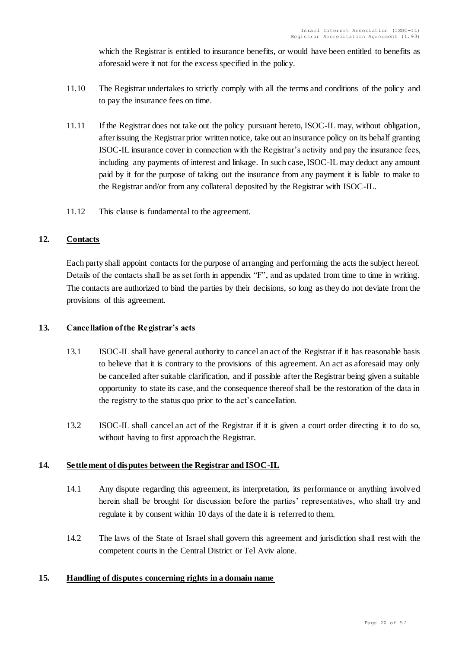which the Registrar is entitled to insurance benefits, or would have been entitled to benefits as aforesaid were it not for the excess specified in the policy.

- 11.10 The Registrar undertakes to strictly comply with all the terms and conditions of the policy and to pay the insurance fees on time.
- 11.11 If the Registrar does not take out the policy pursuant hereto, ISOC-IL may, without obligation, after issuing the Registrar prior written notice, take out an insurance policy on its behalf granting ISOC-IL insurance cover in connection with the Registrar's activity and pay the insurance fees, including any payments of interest and linkage. In such case, ISOC-IL may deduct any amount paid by it for the purpose of taking out the insurance from any payment it is liable to make to the Registrar and/or from any collateral deposited by the Registrar with ISOC-IL.
- 11.12 This clause is fundamental to the agreement.

# <span id="page-19-0"></span>**12. Contacts**

Each party shall appoint contacts for the purpose of arranging and performing the acts the subject hereof. Details of the contacts shall be as set forth in appendix "F", and as updated from time to time in writing. The contacts are authorized to bind the parties by their decisions, so long as they do not deviate from the provisions of this agreement.

# <span id="page-19-1"></span>**13. Cancellation of the Registrar's acts**

- 13.1 ISOC-IL shall have general authority to cancel an act of the Registrar if it has reasonable basis to believe that it is contrary to the provisions of this agreement. An act as aforesaid may only be cancelled after suitable clarification, and if possible after the Registrar being given a suitable opportunity to state its case, and the consequence thereof shall be the restoration of the data in the registry to the status quo prior to the act's cancellation.
- 13.2 ISOC-IL shall cancel an act of the Registrar if it is given a court order directing it to do so, without having to first approach the Registrar.

# <span id="page-19-2"></span>**14. Settlement of disputes between the Registrar and ISOC-IL**

- 14.1 Any dispute regarding this agreement, its interpretation, its performance or anything involved herein shall be brought for discussion before the parties' representatives, who shall try and regulate it by consent within 10 days of the date it is referred to them.
- 14.2 The laws of the State of Israel shall govern this agreement and jurisdiction shall rest with the competent courts in the Central District or Tel Aviv alone.

# <span id="page-19-3"></span>**15. Handling of disputes concerning rights in a domain name**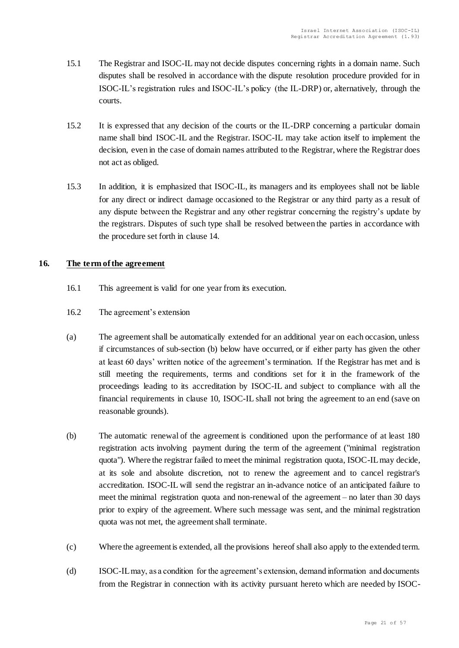- 15.1 The Registrar and ISOC-IL may not decide disputes concerning rights in a domain name. Such disputes shall be resolved in accordance with the dispute resolution procedure provided for in ISOC-IL's registration rules and ISOC-IL's policy (the IL-DRP) or, alternatively, through the courts.
- 15.2 It is expressed that any decision of the courts or the IL-DRP concerning a particular domain name shall bind ISOC-IL and the Registrar. ISOC-IL may take action itself to implement the decision, even in the case of domain names attributed to the Registrar, where the Registrar does not act as obliged.
- 15.3 In addition, it is emphasized that ISOC-IL, its managers and its employees shall not be liable for any direct or indirect damage occasioned to the Registrar or any third party as a result of any dispute between the Registrar and any other registrar concerning the registry's update by the registrars. Disputes of such type shall be resolved between the parties in accordance with the procedure set forth in clause 14.

# <span id="page-20-0"></span>**16. The term of the agreement**

- 16.1 This agreement is valid for one year from its execution.
- 16.2 The agreement's extension
- (a) The agreement shall be automatically extended for an additional year on each occasion, unless if circumstances of sub-section (b) below have occurred, or if either party has given the other at least 60 days' written notice of the agreement's termination. If the Registrar has met and is still meeting the requirements, terms and conditions set for it in the framework of the proceedings leading to its accreditation by ISOC-IL and subject to compliance with all the financial requirements in clause 10, ISOC-IL shall not bring the agreement to an end (save on reasonable grounds).
- (b) The automatic renewal of the agreement is conditioned upon the performance of at least 180 registration acts involving payment during the term of the agreement ("minimal registration quota"). Where the registrar failed to meet the minimal registration quota, ISOC-IL may decide, at its sole and absolute discretion, not to renew the agreement and to cancel registrar's accreditation. ISOC-IL will send the registrar an in-advance notice of an anticipated failure to meet the minimal registration quota and non-renewal of the agreement – no later than 30 days prior to expiry of the agreement. Where such message was sent, and the minimal registration quota was not met, the agreement shall terminate.
- (c) Where the agreement is extended, all the provisions hereof shall also apply to the extended term.
- (d) ISOC-IL may, as a condition for the agreement's extension, demand information and documents from the Registrar in connection with its activity pursuant hereto which are needed by ISOC-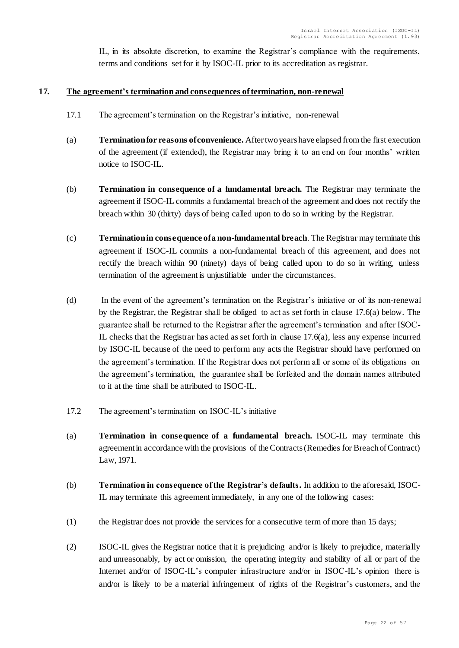IL, in its absolute discretion, to examine the Registrar's compliance with the requirements, terms and conditions set for it by ISOC-IL prior to its accreditation as registrar.

### <span id="page-21-0"></span>**17. The agreement's termination and consequences of termination, non-renewal**

- 17.1 The agreement's termination on the Registrar's initiative, non-renewal
- (a) **Termination for reasons of convenience.** After two years have elapsed from the first execution of the agreement (if extended), the Registrar may bring it to an end on four months' written notice to ISOC-IL.
- (b) **Termination in consequence of a fundamental breach.** The Registrar may terminate the agreement if ISOC-IL commits a fundamental breach of the agreement and does not rectify the breach within 30 (thirty) days of being called upon to do so in writing by the Registrar.
- (c) **Termination in consequence of a non-fundamental breach**. The Registrar may terminate this agreement if ISOC-IL commits a non-fundamental breach of this agreement, and does not rectify the breach within 90 (ninety) days of being called upon to do so in writing, unless termination of the agreement is unjustifiable under the circumstances.
- (d) In the event of the agreement's termination on the Registrar's initiative or of its non-renewal by the Registrar, the Registrar shall be obliged to act as set forth in clause 17.6(a) below. The guarantee shall be returned to the Registrar after the agreement's termination and after ISOC-IL checks that the Registrar has acted as set forth in clause  $17.6(a)$ , less any expense incurred by ISOC-IL because of the need to perform any acts the Registrar should have performed on the agreement's termination. If the Registrar does not perform all or some of its obligations on the agreement's termination, the guarantee shall be forfeited and the domain names attributed to it at the time shall be attributed to ISOC-IL.
- 17.2 The agreement's termination on ISOC-IL's initiative
- (a) **Termination in consequence of a fundamental breach.** ISOC-IL may terminate this agreement in accordance with the provisions of the Contracts (Remedies for Breach of Contract) Law, 1971.
- (b) **Termination in consequence of the Registrar's defaults.** In addition to the aforesaid, ISOC-IL may terminate this agreement immediately, in any one of the following cases:
- (1) the Registrar does not provide the services for a consecutive term of more than 15 days;
- (2) ISOC-IL gives the Registrar notice that it is prejudicing and/or is likely to prejudice, materially and unreasonably, by act or omission, the operating integrity and stability of all or part of the Internet and/or of ISOC-IL's computer infrastructure and/or in ISOC-IL's opinion there is and/or is likely to be a material infringement of rights of the Registrar's customers, and the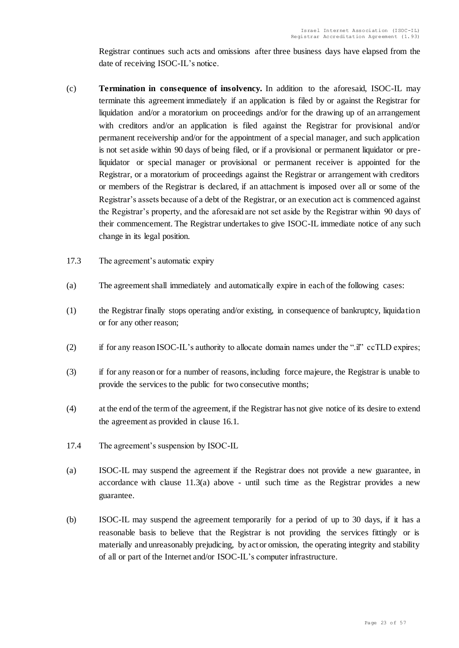Registrar continues such acts and omissions after three business days have elapsed from the date of receiving ISOC-IL's notice.

- (c) **Termination in consequence of insolvency.** In addition to the aforesaid, ISOC-IL may terminate this agreement immediately if an application is filed by or against the Registrar for liquidation and/or a moratorium on proceedings and/or for the drawing up of an arrangement with creditors and/or an application is filed against the Registrar for provisional and/or permanent receivership and/or for the appointment of a special manager, and such application is not set aside within 90 days of being filed, or if a provisional or permanent liquidator or preliquidator or special manager or provisional or permanent receiver is appointed for the Registrar, or a moratorium of proceedings against the Registrar or arrangement with creditors or members of the Registrar is declared, if an attachment is imposed over all or some of the Registrar's assets because of a debt of the Registrar, or an execution act is commenced against the Registrar's property, and the aforesaid are not set aside by the Registrar within 90 days of their commencement. The Registrar undertakes to give ISOC-IL immediate notice of any such change in its legal position.
- 17.3 The agreement's automatic expiry
- (a) The agreement shall immediately and automatically expire in each of the following cases:
- (1) the Registrar finally stops operating and/or existing, in consequence of bankruptcy, liquidation or for any other reason;
- (2) if for any reason ISOC-IL's authority to allocate domain names under the ".il" ccTLD expires;
- (3) if for any reason or for a number of reasons, including force majeure, the Registrar is unable to provide the services to the public for two consecutive months;
- (4) at the end of the term of the agreement, if the Registrar has not give notice of its desire to extend the agreement as provided in clause 16.1.
- 17.4 The agreement's suspension by ISOC-IL
- (a) ISOC-IL may suspend the agreement if the Registrar does not provide a new guarantee, in accordance with clause 11.3(a) above - until such time as the Registrar provides a new guarantee.
- (b) ISOC-IL may suspend the agreement temporarily for a period of up to 30 days, if it has a reasonable basis to believe that the Registrar is not providing the services fittingly or is materially and unreasonably prejudicing, by act or omission, the operating integrity and stability of all or part of the Internet and/or ISOC-IL's computer infrastructure.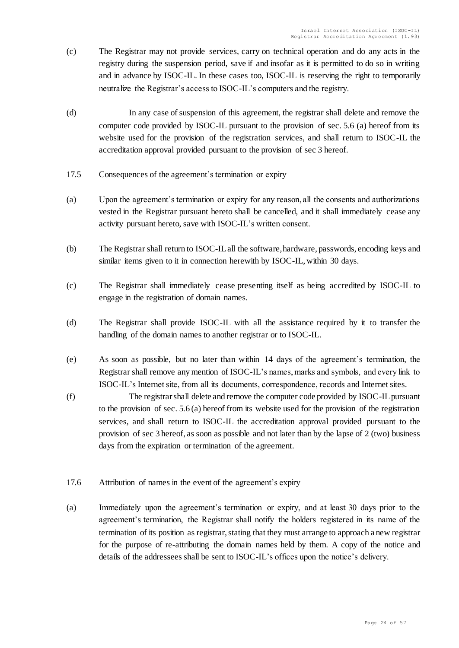- (c) The Registrar may not provide services, carry on technical operation and do any acts in the registry during the suspension period, save if and insofar as it is permitted to do so in writing and in advance by ISOC-IL. In these cases too, ISOC-IL is reserving the right to temporarily neutralize the Registrar's access to ISOC-IL's computers and the registry.
- (d) In any case of suspension of this agreement, the registrar shall delete and remove the computer code provided by ISOC-IL pursuant to the provision of sec. 5.6 (a) hereof from its website used for the provision of the registration services, and shall return to ISOC-IL the accreditation approval provided pursuant to the provision of sec 3 hereof.
- 17.5 Consequences of the agreement's termination or expiry
- (a) Upon the agreement's termination or expiry for any reason, all the consents and authorizations vested in the Registrar pursuant hereto shall be cancelled, and it shall immediately cease any activity pursuant hereto, save with ISOC-IL's written consent.
- (b) The Registrar shall return to ISOC-IL all the software, hardware, passwords, encoding keys and similar items given to it in connection herewith by ISOC-IL, within 30 days.
- (c) The Registrar shall immediately cease presenting itself as being accredited by ISOC-IL to engage in the registration of domain names.
- (d) The Registrar shall provide ISOC-IL with all the assistance required by it to transfer the handling of the domain names to another registrar or to ISOC-IL.
- (e) As soon as possible, but no later than within 14 days of the agreement's termination, the Registrar shall remove any mention of ISOC-IL's names, marks and symbols, and every link to ISOC-IL's Internet site, from all its documents, correspondence, records and Internet sites.
- (f) The registrar shall delete and remove the computer code provided by ISOC-IL pursuant to the provision of sec. 5.6 (a) hereof from its website used for the provision of the registration services, and shall return to ISOC-IL the accreditation approval provided pursuant to the provision of sec 3 hereof, as soon as possible and not later than by the lapse of 2 (two) business days from the expiration or termination of the agreement.
- 17.6 Attribution of names in the event of the agreement's expiry
- (a) Immediately upon the agreement's termination or expiry, and at least 30 days prior to the agreement's termination, the Registrar shall notify the holders registered in its name of the termination of its position as registrar, stating that they must arrange to approach a new registrar for the purpose of re-attributing the domain names held by them. A copy of the notice and details of the addressees shall be sent to ISOC-IL's offices upon the notice's delivery.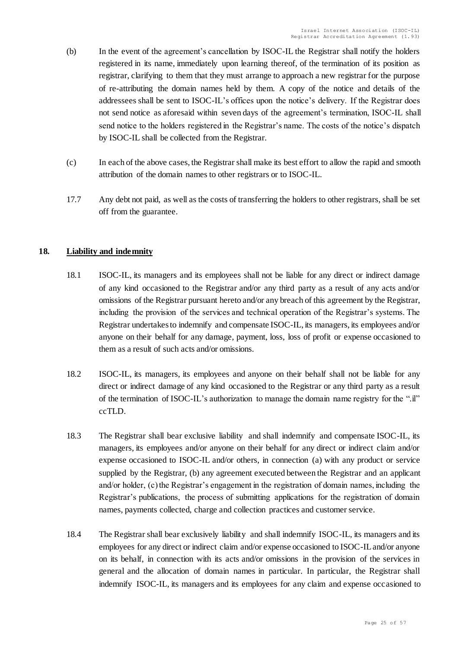- (b) In the event of the agreement's cancellation by ISOC-IL the Registrar shall notify the holders registered in its name, immediately upon learning thereof, of the termination of its position as registrar, clarifying to them that they must arrange to approach a new registrar for the purpose of re-attributing the domain names held by them. A copy of the notice and details of the addressees shall be sent to ISOC-IL's offices upon the notice's delivery. If the Registrar does not send notice as aforesaid within seven days of the agreement's termination, ISOC-IL shall send notice to the holders registered in the Registrar's name. The costs of the notice's dispatch by ISOC-IL shall be collected from the Registrar.
- (c) In each of the above cases, the Registrar shall make its best effort to allow the rapid and smooth attribution of the domain names to other registrars or to ISOC-IL.
- 17.7 Any debt not paid, as well as the costs of transferring the holders to other registrars, shall be set off from the guarantee.

# <span id="page-24-0"></span>**18. Liability and indemnity**

- 18.1 ISOC-IL, its managers and its employees shall not be liable for any direct or indirect damage of any kind occasioned to the Registrar and/or any third party as a result of any acts and/or omissions of the Registrar pursuant hereto and/or any breach of this agreement by the Registrar, including the provision of the services and technical operation of the Registrar's systems. The Registrar undertakes to indemnify and compensate ISOC-IL, its managers, its employees and/or anyone on their behalf for any damage, payment, loss, loss of profit or expense occasioned to them as a result of such acts and/or omissions.
- 18.2 ISOC-IL, its managers, its employees and anyone on their behalf shall not be liable for any direct or indirect damage of any kind occasioned to the Registrar or any third party as a result of the termination of ISOC-IL's authorization to manage the domain name registry for the ".il" ccTLD.
- 18.3 The Registrar shall bear exclusive liability and shall indemnify and compensate ISOC-IL, its managers, its employees and/or anyone on their behalf for any direct or indirect claim and/or expense occasioned to ISOC-IL and/or others, in connection (a) with any product or service supplied by the Registrar, (b) any agreement executed between the Registrar and an applicant and/or holder, (c) the Registrar's engagement in the registration of domain names, including the Registrar's publications, the process of submitting applications for the registration of domain names, payments collected, charge and collection practices and customer service.
- 18.4 The Registrar shall bear exclusively liability and shall indemnify ISOC-IL, its managers and its employees for any direct or indirect claim and/or expense occasioned to ISOC-IL and/or anyone on its behalf, in connection with its acts and/or omissions in the provision of the services in general and the allocation of domain names in particular. In particular, the Registrar shall indemnify ISOC-IL, its managers and its employees for any claim and expense occasioned to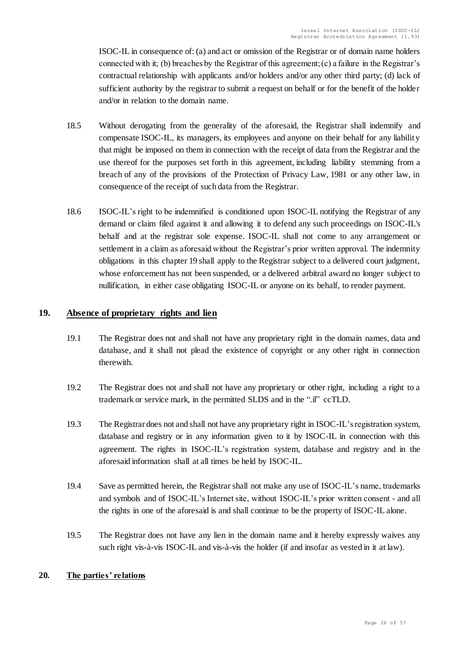ISOC-IL in consequence of: (a) and act or omission of the Registrar or of domain name holders connected with it; (b) breaches by the Registrar of this agreement; (c) a failure in the Registrar's contractual relationship with applicants and/or holders and/or any other third party; (d) lack of sufficient authority by the registrar to submit a request on behalf or for the benefit of the holder and/or in relation to the domain name.

- 18.5 Without derogating from the generality of the aforesaid, the Registrar shall indemnify and compensate ISOC-IL, its managers, its employees and anyone on their behalf for any liability that might be imposed on them in connection with the receipt of data from the Registrar and the use thereof for the purposes set forth in this agreement, including liability stemming from a breach of any of the provisions of the Protection of Privacy Law, 1981 or any other law, in consequence of the receipt of such data from the Registrar.
- 18.6 ISOC-IL's right to be indemnified is conditioned upon ISOC-IL notifying the Registrar of any demand or claim filed against it and allowing it to defend any such proceedings on ISOC-IL's behalf and at the registrar sole expense. ISOC-IL shall not come to any arrangement or settlement in a claim as aforesaid without the Registrar's prior written approval. The indemnity obligations in this chapter 19 shall apply to the Registrar subject to a delivered court judgment, whose enforcement has not been suspended, or a delivered arbitral award no longer subject to nullification, in either case obligating ISOC-IL or anyone on its behalf, to render payment.

# <span id="page-25-0"></span>**19. Absence of proprietary rights and lien**

- 19.1 The Registrar does not and shall not have any proprietary right in the domain names, data and database, and it shall not plead the existence of copyright or any other right in connection therewith.
- 19.2 The Registrar does not and shall not have any proprietary or other right, including a right to a trademark or service mark, in the permitted SLDS and in the ".il" ccTLD.
- 19.3 The Registrar does not and shall not have any proprietary right in ISOC-IL's registration system, database and registry or in any information given to it by ISOC-IL in connection with this agreement. The rights in ISOC-IL's registration system, database and registry and in the aforesaid information shall at all times be held by ISOC-IL.
- 19.4 Save as permitted herein, the Registrar shall not make any use of ISOC-IL's name, trademarks and symbols and of ISOC-IL's Internet site, without ISOC-IL's prior written consent - and all the rights in one of the aforesaid is and shall continue to be the property of ISOC-IL alone.
- 19.5 The Registrar does not have any lien in the domain name and it hereby expressly waives any such right vis-à-vis ISOC-IL and vis-à-vis the holder (if and insofar as vested in it at law).

# <span id="page-25-1"></span>**20. The parties' relations**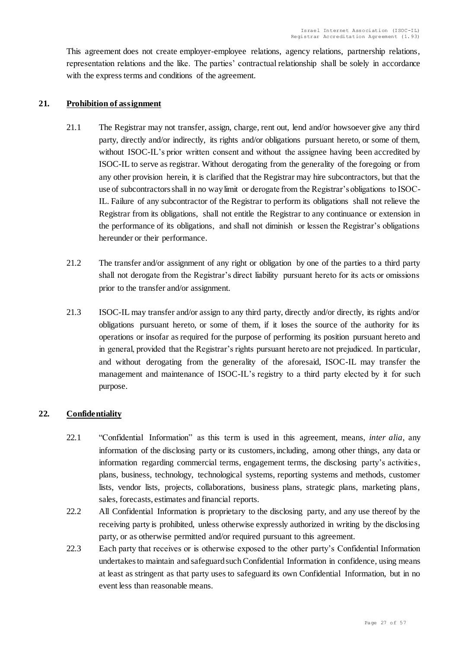This agreement does not create employer-employee relations, agency relations, partnership relations, representation relations and the like. The parties' contractual relationship shall be solely in accordance with the express terms and conditions of the agreement.

### <span id="page-26-0"></span>**21. Prohibition of assignment**

- 21.1 The Registrar may not transfer, assign, charge, rent out, lend and/or howsoever give any third party, directly and/or indirectly, its rights and/or obligations pursuant hereto, or some of them, without ISOC-IL's prior written consent and without the assignee having been accredited by ISOC-IL to serve as registrar. Without derogating from the generality of the foregoing or from any other provision herein, it is clarified that the Registrar may hire subcontractors, but that the use of subcontractors shall in no way limit or derogate from the Registrar's obligations to ISOC-IL. Failure of any subcontractor of the Registrar to perform its obligations shall not relieve the Registrar from its obligations, shall not entitle the Registrar to any continuance or extension in the performance of its obligations, and shall not diminish or lessen the Registrar's obligations hereunder or their performance.
- 21.2 The transfer and/or assignment of any right or obligation by one of the parties to a third party shall not derogate from the Registrar's direct liability pursuant hereto for its acts or omissions prior to the transfer and/or assignment.
- 21.3 ISOC-IL may transfer and/or assign to any third party, directly and/or directly, its rights and/or obligations pursuant hereto, or some of them, if it loses the source of the authority for its operations or insofar as required for the purpose of performing its position pursuant hereto and in general, provided that the Registrar's rights pursuant hereto are not prejudiced. In particular, and without derogating from the generality of the aforesaid, ISOC-IL may transfer the management and maintenance of ISOC-IL's registry to a third party elected by it for such purpose.

# <span id="page-26-1"></span>**22. Confidentiality**

- 22.1 "Confidential Information" as this term is used in this agreement, means, *inter alia*, any information of the disclosing party or its customers, including, among other things, any data or information regarding commercial terms, engagement terms, the disclosing party's activities, plans, business, technology, technological systems, reporting systems and methods, customer lists, vendor lists, projects, collaborations, business plans, strategic plans, marketing plans, sales, forecasts, estimates and financial reports.
- 22.2 All Confidential Information is proprietary to the disclosing party, and any use thereof by the receiving party is prohibited, unless otherwise expressly authorized in writing by the disclosing party, or as otherwise permitted and/or required pursuant to this agreement.
- 22.3 Each party that receives or is otherwise exposed to the other party's Confidential Information undertakes to maintain and safeguardsuch Confidential Information in confidence, using means at least as stringent as that party uses to safeguard its own Confidential Information, but in no event less than reasonable means.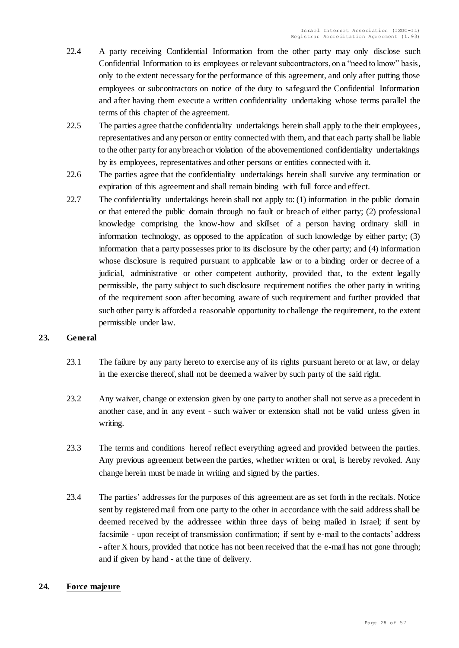- 22.4 A party receiving Confidential Information from the other party may only disclose such Confidential Information to its employees or relevant subcontractors, on a "need to know" basis, only to the extent necessary for the performance of this agreement, and only after putting those employees or subcontractors on notice of the duty to safeguard the Confidential Information and after having them execute a written confidentiality undertaking whose terms parallel the terms of this chapter of the agreement.
- 22.5 The parties agree that the confidentiality undertakings herein shall apply to the their employees, representatives and any person or entity connected with them, and that each party shall be liable to the other party for any breach or violation of the abovementioned confidentiality undertakings by its employees, representatives and other persons or entities connected with it.
- 22.6 The parties agree that the confidentiality undertakings herein shall survive any termination or expiration of this agreement and shall remain binding with full force and effect.
- 22.7 The confidentiality undertakings herein shall not apply to: (1) information in the public domain or that entered the public domain through no fault or breach of either party; (2) professional knowledge comprising the know-how and skillset of a person having ordinary skill in information technology, as opposed to the application of such knowledge by either party; (3) information that a party possesses prior to its disclosure by the other party; and (4) information whose disclosure is required pursuant to applicable law or to a binding order or decree of a judicial, administrative or other competent authority, provided that, to the extent legally permissible, the party subject to such disclosure requirement notifies the other party in writing of the requirement soon after becoming aware of such requirement and further provided that such other party is afforded a reasonable opportunity to challenge the requirement, to the extent permissible under law.

# <span id="page-27-0"></span>**23. General**

- 23.1 The failure by any party hereto to exercise any of its rights pursuant hereto or at law, or delay in the exercise thereof, shall not be deemed a waiver by such party of the said right.
- 23.2 Any waiver, change or extension given by one party to another shall not serve as a precedent in another case, and in any event - such waiver or extension shall not be valid unless given in writing.
- 23.3 The terms and conditions hereof reflect everything agreed and provided between the parties. Any previous agreement between the parties, whether written or oral, is hereby revoked. Any change herein must be made in writing and signed by the parties.
- 23.4 The parties' addresses for the purposes of this agreement are as set forth in the recitals. Notice sent by registered mail from one party to the other in accordance with the said address shall be deemed received by the addressee within three days of being mailed in Israel; if sent by facsimile - upon receipt of transmission confirmation; if sent by e-mail to the contacts' address - after X hours, provided that notice has not been received that the e-mail has not gone through; and if given by hand - at the time of delivery.

# <span id="page-27-1"></span>**24. Force majeure**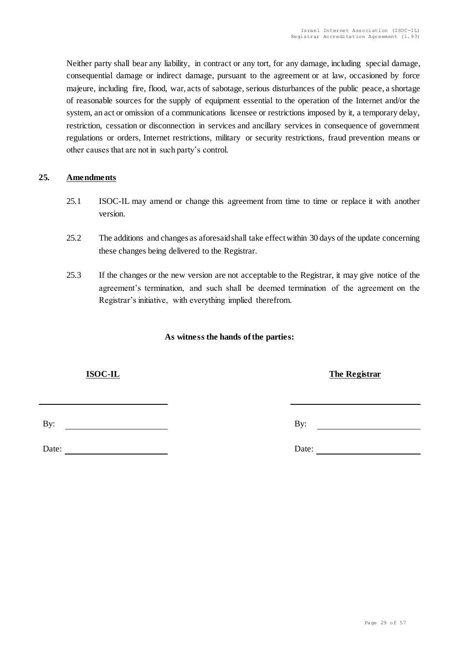Neither party shall bear any liability, in contract or any tort, for any damage, including special damage, consequential damage or indirect damage, pursuant to the agreement or at law, occasioned by force majeure, including fire, flood, war, acts of sabotage, serious disturbances of the public peace, a shortage of reasonable sources for the supply of equipment essential to the operation of the Internet and/or the system, an act or omission of a communications licensee or restrictions imposed by it, a temporary delay, restriction, cessation or disconnection in services and ancillary services in consequence of government regulations or orders, Internet restrictions, military or security restrictions, fraud prevention means or other causes that are not in such party's control.

# <span id="page-28-0"></span>**25. Amendments**

- 25.1 ISOC-IL may amend or change this agreement from time to time or replace it with another version.
- 25.2 The additions and changes as aforesaid shall take effect within 30 days of the update concerning these changes being delivered to the Registrar.
- 25.3 If the changes or the new version are not acceptable to the Registrar, it may give notice of the agreement's termination, and such shall be deemed termination of the agreement on the Registrar's initiative, with everything implied therefrom.

# **As witness the hands of the parties:**

By: By:

Date: Date: Date: Date: Date: Date: Date: Date: Date: Date: Date: Date: Date: Date: Date: Date: Date: Date: Date: Date: Date: Date: Date: Date: Date: Date: Date: Date: Date: Date: Date: Date: Date: Date: Date: Date: Date:

#### Page 29 of 57

<u> 1980 - Johann Barn, mars eta bainar eta baina eta baina eta baina eta baina eta baina eta baina eta baina e</u>

**ISOC-IL The Registrar**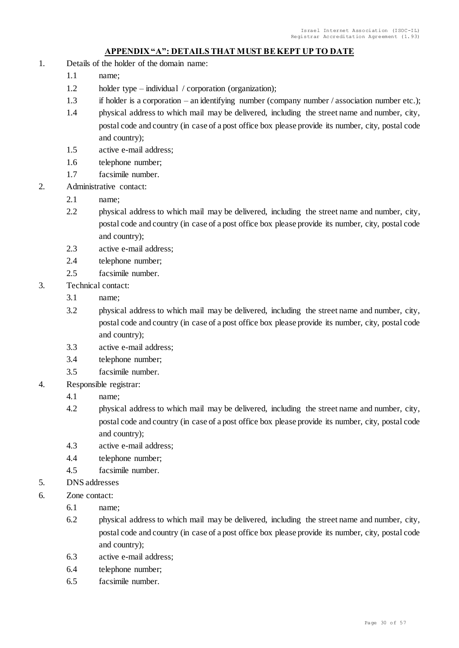# **APPENDIX "A": DETAILS THAT MUST BE KEPT UP TO DATE**

- 1. Details of the holder of the domain name:
	- 1.1 name;
	- 1.2 holder type individual / corporation (organization);
	- 1.3 if holder is a corporation an identifying number (company number / association number etc.);
	- 1.4 physical address to which mail may be delivered, including the street name and number, city, postal code and country (in case of a post office box please provide its number, city, postal code and country);
	- 1.5 active e-mail address;
	- 1.6 telephone number;
	- 1.7 facsimile number.
- 2. Administrative contact:
	- 2.1 name;
	- 2.2 physical address to which mail may be delivered, including the street name and number, city, postal code and country (in case of a post office box please provide its number, city, postal code and country);
	- 2.3 active e-mail address;
	- 2.4 telephone number;
	- 2.5 facsimile number.
- 3. Technical contact:
	- 3.1 name;
	- 3.2 physical address to which mail may be delivered, including the street name and number, city, postal code and country (in case of a post office box please provide its number, city, postal code and country);
	- 3.3 active e-mail address;
	- 3.4 telephone number;
	- 3.5 facsimile number.
- 4. Responsible registrar:
	- 4.1 name;
	- 4.2 physical address to which mail may be delivered, including the street name and number, city, postal code and country (in case of a post office box please provide its number, city, postal code and country);
	- 4.3 active e-mail address;
	- 4.4 telephone number;
	- 4.5 facsimile number.
- 5. DNS addresses
- 6. Zone contact:
	- 6.1 name;
	- 6.2 physical address to which mail may be delivered, including the street name and number, city, postal code and country (in case of a post office box please provide its number, city, postal code and country);
	- 6.3 active e-mail address;
	- 6.4 telephone number;
	- 6.5 facsimile number.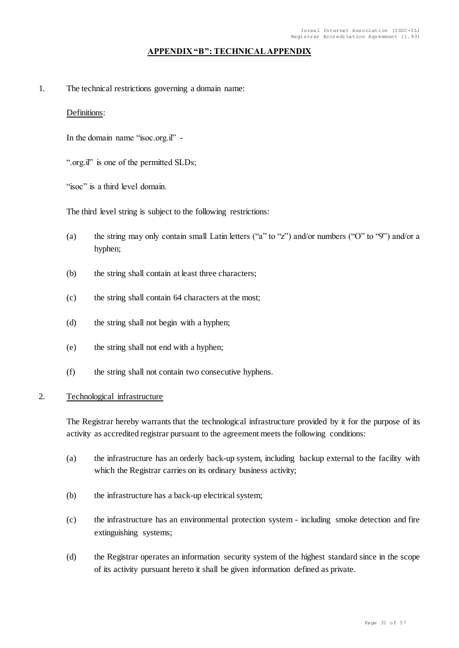### **APPENDIX "B": TECHNICAL APPENDIX**

1. The technical restrictions governing a domain name:

#### Definitions:

In the domain name "isoc.org.il" -

".org.il" is one of the permitted SLDs;

"isoc" is a third level domain.

The third level string is subject to the following restrictions:

- (a) the string may only contain small Latin letters ("a" to "z") and/or numbers ("O" to "9") and/or a hyphen;
- (b) the string shall contain at least three characters;
- (c) the string shall contain 64 characters at the most;
- (d) the string shall not begin with a hyphen;
- (e) the string shall not end with a hyphen;
- (f) the string shall not contain two consecutive hyphens.

#### 2. Technological infrastructure

The Registrar hereby warrants that the technological infrastructure provided by it for the purpose of its activity as accredited registrar pursuant to the agreement meets the following conditions:

- (a) the infrastructure has an orderly back-up system, including backup external to the facility with which the Registrar carries on its ordinary business activity;
- (b) the infrastructure has a back-up electrical system;
- (c) the infrastructure has an environmental protection system including smoke detection and fire extinguishing systems;
- (d) the Registrar operates an information security system of the highest standard since in the scope of its activity pursuant hereto it shall be given information defined as private.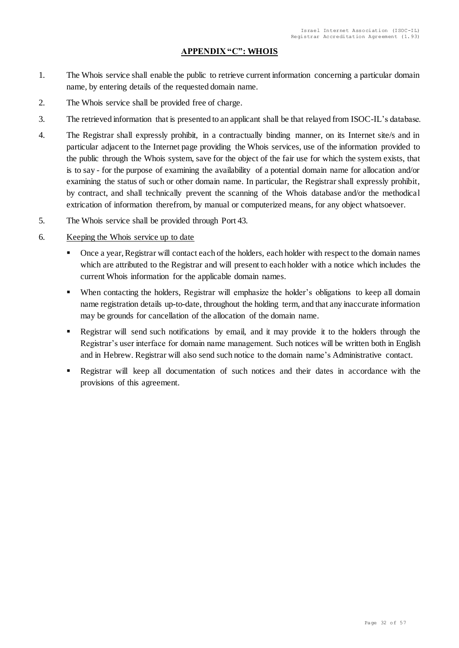# **APPENDIX "C": WHOIS**

- 1. The Whois service shall enable the public to retrieve current information concerning a particular domain name, by entering details of the requested domain name.
- 2. The Whois service shall be provided free of charge.
- 3. The retrieved information that is presented to an applicant shall be that relayed from ISOC-IL's database.
- 4. The Registrar shall expressly prohibit, in a contractually binding manner, on its Internet site/s and in particular adjacent to the Internet page providing the Whois services, use of the information provided to the public through the Whois system, save for the object of the fair use for which the system exists, that is to say - for the purpose of examining the availability of a potential domain name for allocation and/or examining the status of such or other domain name. In particular, the Registrar shall expressly prohibit, by contract, and shall technically prevent the scanning of the Whois database and/or the methodical extrication of information therefrom, by manual or computerized means, for any object whatsoever.
- 5. The Whois service shall be provided through Port 43.
- 6. Keeping the Whois service up to date
	- Once a year, Registrar will contact each of the holders, each holder with respect to the domain names which are attributed to the Registrar and will present to each holder with a notice which includes the current Whois information for the applicable domain names.
	- When contacting the holders, Registrar will emphasize the holder's obligations to keep all domain name registration details up-to-date, throughout the holding term, and that any inaccurate information may be grounds for cancellation of the allocation of the domain name.
	- Registrar will send such notifications by email, and it may provide it to the holders through the Registrar's user interface for domain name management. Such notices will be written both in English and in Hebrew. Registrar will also send such notice to the domain name's Administrative contact.
	- Registrar will keep all documentation of such notices and their dates in accordance with the provisions of this agreement.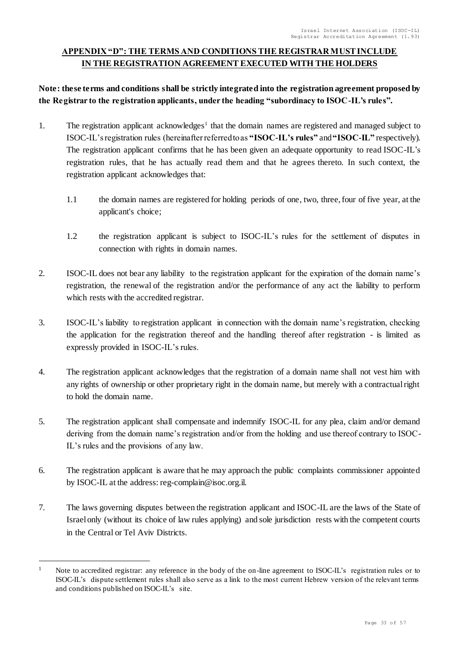# **APPENDIX "D": THE TERMS AND CONDITIONS THE REGISTRAR MUST INCLUDE IN THE REGISTRATION AGREEMENT EXECUTED WITH THE HOLDERS**

**Note: these terms and conditions shall be strictly integrated into the registration agreement proposed by the Registrar to the registration applicants, under the heading "subordinacy to ISOC-IL's rules".** 

- 1. The registration applicant acknowledges<sup>1</sup> that the domain names are registered and managed subject to ISOC-IL's registration rules (hereinafter referred to as **"ISOC-IL's rules"** and **"ISOC-IL"** respectively). The registration applicant confirms that he has been given an adequate opportunity to read ISOC-IL's registration rules, that he has actually read them and that he agrees thereto. In such context, the registration applicant acknowledges that:
	- 1.1 the domain names are registered for holding periods of one, two, three, four of five year, at the applicant's choice;
	- 1.2 the registration applicant is subject to ISOC-IL's rules for the settlement of disputes in connection with rights in domain names.
- 2. ISOC-IL does not bear any liability to the registration applicant for the expiration of the domain name's registration, the renewal of the registration and/or the performance of any act the liability to perform which rests with the accredited registrar.
- 3. ISOC-IL's liability to registration applicant in connection with the domain name's registration, checking the application for the registration thereof and the handling thereof after registration - is limited as expressly provided in ISOC-IL's rules.
- 4. The registration applicant acknowledges that the registration of a domain name shall not vest him with any rights of ownership or other proprietary right in the domain name, but merely with a contractual right to hold the domain name.
- 5. The registration applicant shall compensate and indemnify ISOC-IL for any plea, claim and/or demand deriving from the domain name's registration and/or from the holding and use thereof contrary to ISOC-IL's rules and the provisions of any law.
- 6. The registration applicant is aware that he may approach the public complaints commissioner appointed by ISOC-IL at the address: reg-complain@isoc.org.il.
- 7. The laws governing disputes between the registration applicant and ISOC-IL are the laws of the State of Israel only (without its choice of law rules applying) and sole jurisdiction rests with the competent courts in the Central or Tel Aviv Districts.

l

<sup>&</sup>lt;sup>1</sup> Note to accredited registrar: any reference in the body of the on-line agreement to ISOC-IL's registration rules or to ISOC-IL's dispute settlement rules shall also serve as a link to the most current Hebrew version of the relevant terms and conditions published on ISOC-IL's site.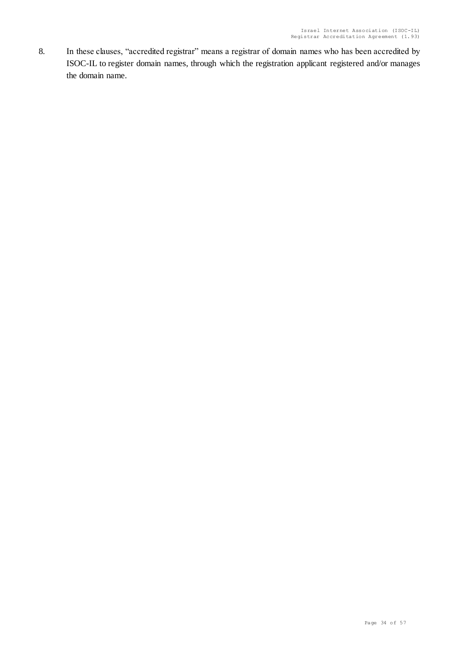8. In these clauses, "accredited registrar" means a registrar of domain names who has been accredited by ISOC-IL to register domain names, through which the registration applicant registered and/or manages the domain name.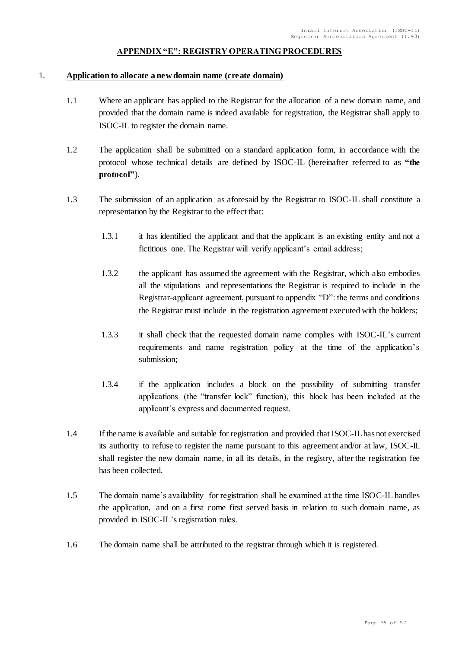#### **APPENDIX "E": REGISTRY OPERATING PROCEDURES**

#### 1. **Application to allocate a new domain name (create domain)**

- 1.1 Where an applicant has applied to the Registrar for the allocation of a new domain name, and provided that the domain name is indeed available for registration, the Registrar shall apply to ISOC-IL to register the domain name.
- 1.2 The application shall be submitted on a standard application form, in accordance with the protocol whose technical details are defined by ISOC-IL (hereinafter referred to as **"the protocol"**).
- 1.3 The submission of an application as aforesaid by the Registrar to ISOC-IL shall constitute a representation by the Registrar to the effect that:
	- 1.3.1 it has identified the applicant and that the applicant is an existing entity and not a fictitious one. The Registrar will verify applicant's email address;
	- 1.3.2 the applicant has assumed the agreement with the Registrar, which also embodies all the stipulations and representations the Registrar is required to include in the Registrar-applicant agreement, pursuant to appendix "D": the terms and conditions the Registrar must include in the registration agreement executed with the holders;
	- 1.3.3 it shall check that the requested domain name complies with ISOC-IL's current requirements and name registration policy at the time of the application's submission;
	- 1.3.4 if the application includes a block on the possibility of submitting transfer applications (the "transfer lock" function), this block has been included at the applicant's express and documented request.
- 1.4 If the name is available and suitable for registration and provided that ISOC-IL has not exercised its authority to refuse to register the name pursuant to this agreement and/or at law, ISOC-IL shall register the new domain name, in all its details, in the registry, after the registration fee has been collected.
- 1.5 The domain name's availability for registration shall be examined at the time ISOC-IL handles the application, and on a first come first served basis in relation to such domain name, as provided in ISOC-IL's registration rules.
- 1.6 The domain name shall be attributed to the registrar through which it is registered.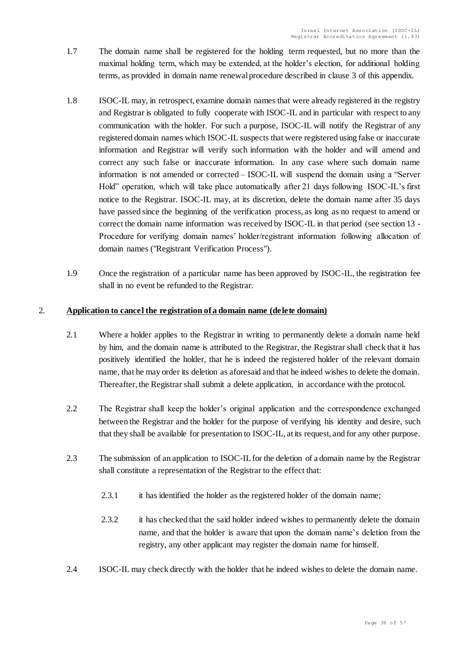- 1.7 The domain name shall be registered for the holding term requested, but no more than the maximal holding term, which may be extended, at the holder's election, for additional holding terms, as provided in domain name renewal procedure described in clause 3 of this appendix.
- 1.8 ISOC-IL may, in retrospect, examine domain names that were already registered in the registry and Registrar is obligated to fully cooperate with ISOC-IL and in particular with respect to any communication with the holder. For such a purpose, ISOC-IL will notify the Registrar of any registered domain names which ISOC-IL suspects that were registered using false or inaccurate information and Registrar will verify such information with the holder and will amend and correct any such false or inaccurate information. In any case where such domain name information is not amended or corrected – ISOC-IL will suspend the domain using a "Server Hold" operation, which will take place automatically after 21 days following ISOC-IL's first notice to the Registrar. ISOC-IL may, at its discretion, delete the domain name after 35 days have passed since the beginning of the verification process, as long as no request to amend or correct the domain name information was received by ISOC-IL in that period (see section 13 - Procedure for verifying domain names' holder/registrant information following allocation of domain names ("Registrant Verification Process").
- 1.9 Once the registration of a particular name has been approved by ISOC-IL, the registration fee shall in no event be refunded to the Registrar.

# 2. **Application to cancel the registration of a domain name (delete domain)**

- 2.1 Where a holder applies to the Registrar in writing to permanently delete a domain name held by him, and the domain name is attributed to the Registrar, the Registrar shall check that it has positively identified the holder, that he is indeed the registered holder of the relevant domain name, that he may order its deletion as aforesaid and that he indeed wishes to delete the domain. Thereafter, the Registrar shall submit a delete application, in accordance with the protocol.
- 2.2 The Registrar shall keep the holder's original application and the correspondence exchanged between the Registrar and the holder for the purpose of verifying his identity and desire, such that they shall be available for presentation to ISOC-IL, at its request, and for any other purpose.
- 2.3 The submission of an application to ISOC-IL for the deletion of a domain name by the Registrar shall constitute a representation of the Registrar to the effect that:
	- 2.3.1 it has identified the holder as the registered holder of the domain name;
	- 2.3.2 it has checked that the said holder indeed wishes to permanently delete the domain name, and that the holder is aware that upon the domain name's deletion from the registry, any other applicant may register the domain name for himself.
- 2.4 ISOC-IL may check directly with the holder that he indeed wishes to delete the domain name.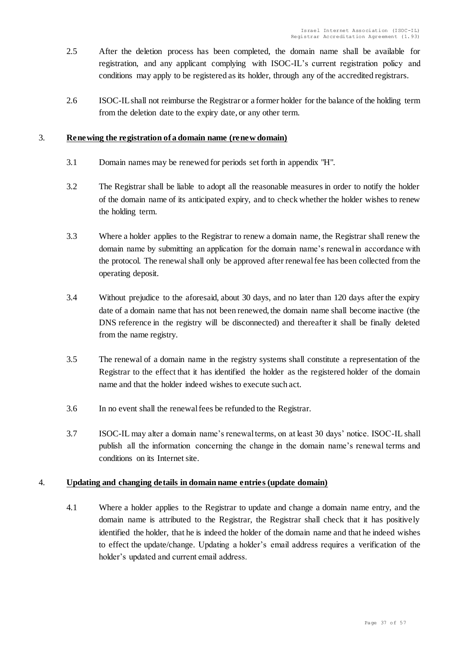- 2.5 After the deletion process has been completed, the domain name shall be available for registration, and any applicant complying with ISOC-IL's current registration policy and conditions may apply to be registered as its holder, through any of the accredited registrars.
- 2.6 ISOC-IL shall not reimburse the Registrar or a former holder for the balance of the holding term from the deletion date to the expiry date, or any other term.

# 3. **Renewing the registration of a domain name (renew domain)**

- 3.1 Domain names may be renewed for periods set forth in appendix "H".
- 3.2 The Registrar shall be liable to adopt all the reasonable measures in order to notify the holder of the domain name of its anticipated expiry, and to check whether the holder wishes to renew the holding term.
- 3.3 Where a holder applies to the Registrar to renew a domain name, the Registrar shall renew the domain name by submitting an application for the domain name's renewal in accordance with the protocol. The renewal shall only be approved after renewal fee has been collected from the operating deposit.
- 3.4 Without prejudice to the aforesaid, about 30 days, and no later than 120 days after the expiry date of a domain name that has not been renewed, the domain name shall become inactive (the DNS reference in the registry will be disconnected) and thereafter it shall be finally deleted from the name registry.
- 3.5 The renewal of a domain name in the registry systems shall constitute a representation of the Registrar to the effect that it has identified the holder as the registered holder of the domain name and that the holder indeed wishes to execute such act.
- 3.6 In no event shall the renewal fees be refunded to the Registrar.
- 3.7 ISOC-IL may alter a domain name's renewal terms, on at least 30 days' notice. ISOC-IL shall publish all the information concerning the change in the domain name's renewal terms and conditions on its Internet site.

### 4. **Updating and changing details in domain name entries (update domain)**

4.1 Where a holder applies to the Registrar to update and change a domain name entry, and the domain name is attributed to the Registrar, the Registrar shall check that it has positively identified the holder, that he is indeed the holder of the domain name and that he indeed wishes to effect the update/change. Updating a holder's email address requires a verification of the holder's updated and current email address.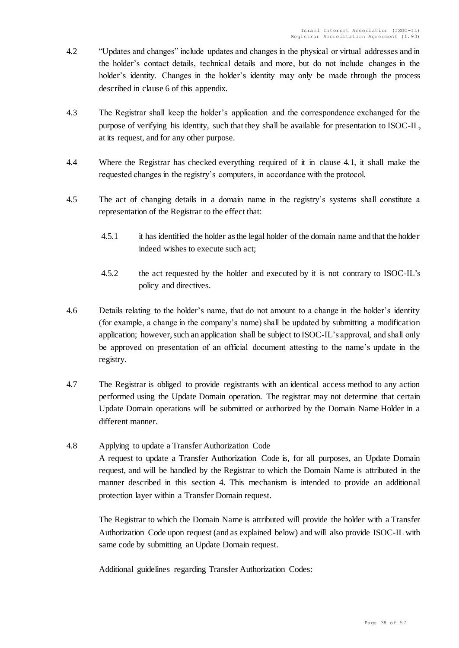- 4.2 "Updates and changes" include updates and changes in the physical or virtual addresses and in the holder's contact details, technical details and more, but do not include changes in the holder's identity. Changes in the holder's identity may only be made through the process described in clause 6 of this appendix.
- 4.3 The Registrar shall keep the holder's application and the correspondence exchanged for the purpose of verifying his identity, such that they shall be available for presentation to ISOC-IL, at its request, and for any other purpose.
- 4.4 Where the Registrar has checked everything required of it in clause 4.1, it shall make the requested changes in the registry's computers, in accordance with the protocol.
- 4.5 The act of changing details in a domain name in the registry's systems shall constitute a representation of the Registrar to the effect that:
	- 4.5.1 it has identified the holder as the legal holder of the domain name and that the holder indeed wishes to execute such act;
	- 4.5.2 the act requested by the holder and executed by it is not contrary to ISOC-IL's policy and directives.
- 4.6 Details relating to the holder's name, that do not amount to a change in the holder's identity (for example, a change in the company's name) shall be updated by submitting a modification application; however, such an application shall be subject to ISOC-IL's approval, and shall only be approved on presentation of an official document attesting to the name's update in the registry.
- 4.7 The Registrar is obliged to provide registrants with an identical access method to any action performed using the Update Domain operation. The registrar may not determine that certain Update Domain operations will be submitted or authorized by the Domain Name Holder in a different manner.
- 4.8 Applying to update a Transfer Authorization Code A request to update a Transfer Authorization Code is, for all purposes, an Update Domain request, and will be handled by the Registrar to which the Domain Name is attributed in the manner described in this section 4. This mechanism is intended to provide an additional protection layer within a Transfer Domain request.

The Registrar to which the Domain Name is attributed will provide the holder with a Transfer Authorization Code upon request (and as explained below) and will also provide ISOC-IL with same code by submitting an Update Domain request.

Additional guidelines regarding Transfer Authorization Codes: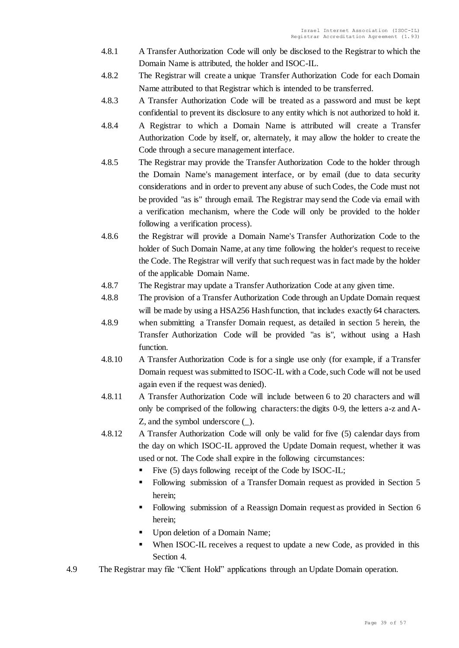- 4.8.1 A Transfer Authorization Code will only be disclosed to the Registrar to which the Domain Name is attributed, the holder and ISOC-IL.
- 4.8.2 The Registrar will create a unique Transfer Authorization Code for each Domain Name attributed to that Registrar which is intended to be transferred.
- 4.8.3 A Transfer Authorization Code will be treated as a password and must be kept confidential to prevent its disclosure to any entity which is not authorized to hold it.
- 4.8.4 A Registrar to which a Domain Name is attributed will create a Transfer Authorization Code by itself, or, alternately, it may allow the holder to create the Code through a secure management interface.
- 4.8.5 The Registrar may provide the Transfer Authorization Code to the holder through the Domain Name's management interface, or by email (due to data security considerations and in order to prevent any abuse of such Codes, the Code must not be provided "as is" through email. The Registrar may send the Code via email with a verification mechanism, where the Code will only be provided to the holder following a verification process).
- 4.8.6 the Registrar will provide a Domain Name's Transfer Authorization Code to the holder of Such Domain Name, at any time following the holder's request to receive the Code. The Registrar will verify that such request was in fact made by the holder of the applicable Domain Name.
- 4.8.7 The Registrar may update a Transfer Authorization Code at any given time.
- 4.8.8 The provision of a Transfer Authorization Code through an Update Domain request will be made by using a HSA256 Hash function, that includes exactly 64 characters.
- 4.8.9 when submitting a Transfer Domain request, as detailed in section 5 herein, the Transfer Authorization Code will be provided "as is", without using a Hash function.
- 4.8.10 A Transfer Authorization Code is for a single use only (for example, if a Transfer Domain request was submitted to ISOC-IL with a Code, such Code will not be used again even if the request was denied).
- 4.8.11 A Transfer Authorization Code will include between 6 to 20 characters and will only be comprised of the following characters: the digits 0-9, the letters a-z and A-Z, and the symbol underscore (\_).
- 4.8.12 A Transfer Authorization Code will only be valid for five (5) calendar days from the day on which ISOC-IL approved the Update Domain request, whether it was used or not. The Code shall expire in the following circumstances:
	- Five (5) days following receipt of the Code by ISOC-IL;
	- Following submission of a Transfer Domain request as provided in Section 5 herein;
	- Following submission of a Reassign Domain request as provided in Section 6 herein;
	- Upon deletion of a Domain Name;
	- When ISOC-IL receives a request to update a new Code, as provided in this Section 4.
- 4.9 The Registrar may file "Client Hold" applications through an Update Domain operation.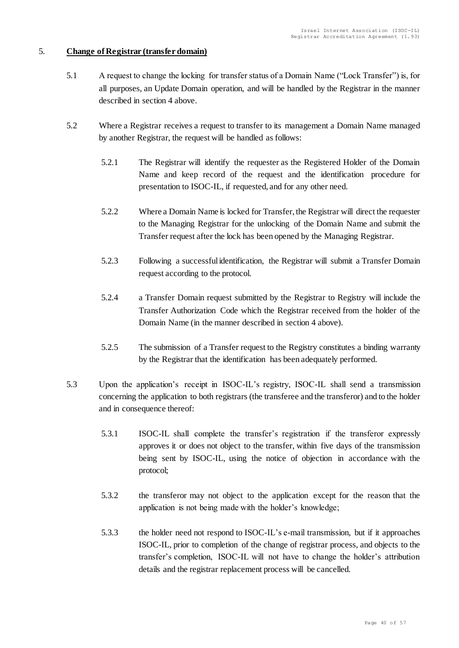# 5. **Change of Registrar (transfer domain)**

- 5.1 A request to change the locking for transfer status of a Domain Name ("Lock Transfer") is, for all purposes, an Update Domain operation, and will be handled by the Registrar in the manner described in section 4 above.
- 5.2 Where a Registrar receives a request to transfer to its management a Domain Name managed by another Registrar, the request will be handled as follows:
	- 5.2.1 The Registrar will identify the requester as the Registered Holder of the Domain Name and keep record of the request and the identification procedure for presentation to ISOC-IL, if requested, and for any other need.
	- 5.2.2 Where a Domain Name is locked for Transfer, the Registrar will direct the requester to the Managing Registrar for the unlocking of the Domain Name and submit the Transfer request after the lock has been opened by the Managing Registrar.
	- 5.2.3 Following a successful identification, the Registrar will submit a Transfer Domain request according to the protocol.
	- 5.2.4 a Transfer Domain request submitted by the Registrar to Registry will include the Transfer Authorization Code which the Registrar received from the holder of the Domain Name (in the manner described in section 4 above).
	- 5.2.5 The submission of a Transfer request to the Registry constitutes a binding warranty by the Registrar that the identification has been adequately performed.
- 5.3 Upon the application's receipt in ISOC-IL's registry, ISOC-IL shall send a transmission concerning the application to both registrars (the transferee and the transferor) and to the holder and in consequence thereof:
	- 5.3.1 ISOC-IL shall complete the transfer's registration if the transferor expressly approves it or does not object to the transfer, within five days of the transmission being sent by ISOC-IL, using the notice of objection in accordance with the protocol;
	- 5.3.2 the transferor may not object to the application except for the reason that the application is not being made with the holder's knowledge;
	- 5.3.3 the holder need not respond to ISOC-IL's e-mail transmission, but if it approaches ISOC-IL, prior to completion of the change of registrar process, and objects to the transfer's completion, ISOC-IL will not have to change the holder's attribution details and the registrar replacement process will be cancelled.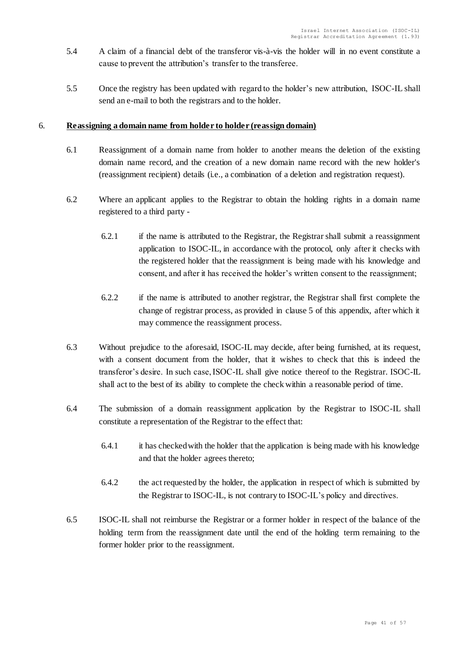- 5.4 A claim of a financial debt of the transferor vis-à-vis the holder will in no event constitute a cause to prevent the attribution's transfer to the transferee.
- 5.5 Once the registry has been updated with regard to the holder's new attribution, ISOC-IL shall send an e-mail to both the registrars and to the holder.

### 6. **Reassigning a domain name from holder to holder (reassign domain)**

- 6.1 Reassignment of a domain name from holder to another means the deletion of the existing domain name record, and the creation of a new domain name record with the new holder's (reassignment recipient) details (i.e., a combination of a deletion and registration request).
- 6.2 Where an applicant applies to the Registrar to obtain the holding rights in a domain name registered to a third party -
	- 6.2.1 if the name is attributed to the Registrar, the Registrar shall submit a reassignment application to ISOC-IL, in accordance with the protocol, only after it checks with the registered holder that the reassignment is being made with his knowledge and consent, and after it has received the holder's written consent to the reassignment;
	- 6.2.2 if the name is attributed to another registrar, the Registrar shall first complete the change of registrar process, as provided in clause 5 of this appendix, after which it may commence the reassignment process.
- 6.3 Without prejudice to the aforesaid, ISOC-IL may decide, after being furnished, at its request, with a consent document from the holder, that it wishes to check that this is indeed the transferor's desire. In such case, ISOC-IL shall give notice thereof to the Registrar. ISOC-IL shall act to the best of its ability to complete the check within a reasonable period of time.
- 6.4 The submission of a domain reassignment application by the Registrar to ISOC-IL shall constitute a representation of the Registrar to the effect that:
	- 6.4.1 it has checked with the holder that the application is being made with his knowledge and that the holder agrees thereto;
	- 6.4.2 the act requested by the holder, the application in respect of which is submitted by the Registrar to ISOC-IL, is not contrary to ISOC-IL's policy and directives.
- 6.5 ISOC-IL shall not reimburse the Registrar or a former holder in respect of the balance of the holding term from the reassignment date until the end of the holding term remaining to the former holder prior to the reassignment.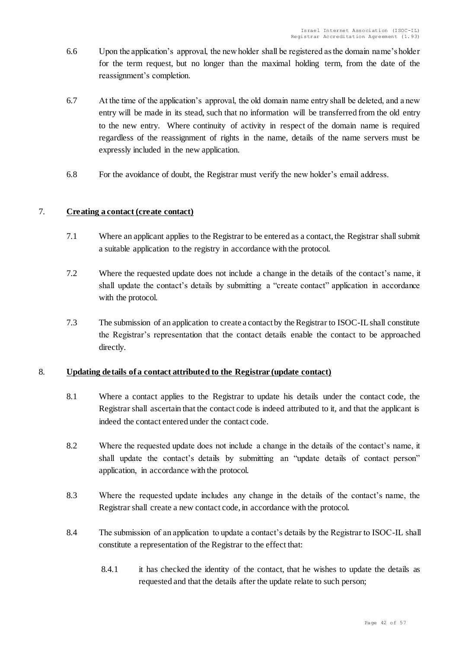- 6.6 Upon the application's approval, the new holder shall be registered as the domain name's holder for the term request, but no longer than the maximal holding term, from the date of the reassignment's completion.
- 6.7 At the time of the application's approval, the old domain name entry shall be deleted, and a new entry will be made in its stead, such that no information will be transferred from the old entry to the new entry. Where continuity of activity in respect of the domain name is required regardless of the reassignment of rights in the name, details of the name servers must be expressly included in the new application.
- 6.8 For the avoidance of doubt, the Registrar must verify the new holder's email address.

### 7. **Creating a contact (create contact)**

- 7.1 Where an applicant applies to the Registrar to be entered as a contact, the Registrar shall submit a suitable application to the registry in accordance with the protocol.
- 7.2 Where the requested update does not include a change in the details of the contact's name, it shall update the contact's details by submitting a "create contact" application in accordance with the protocol.
- 7.3 The submission of an application to create a contact by the Registrar to ISOC-IL shall constitute the Registrar's representation that the contact details enable the contact to be approached directly.

#### 8. **Updating details of a contact attributed to the Registrar (update contact)**

- 8.1 Where a contact applies to the Registrar to update his details under the contact code, the Registrar shall ascertain that the contact code is indeed attributed to it, and that the applicant is indeed the contact entered under the contact code.
- 8.2 Where the requested update does not include a change in the details of the contact's name, it shall update the contact's details by submitting an "update details of contact person" application, in accordance with the protocol.
- 8.3 Where the requested update includes any change in the details of the contact's name, the Registrar shall create a new contact code, in accordance with the protocol.
- 8.4 The submission of an application to update a contact's details by the Registrar to ISOC-IL shall constitute a representation of the Registrar to the effect that:
	- 8.4.1 it has checked the identity of the contact, that he wishes to update the details as requested and that the details after the update relate to such person;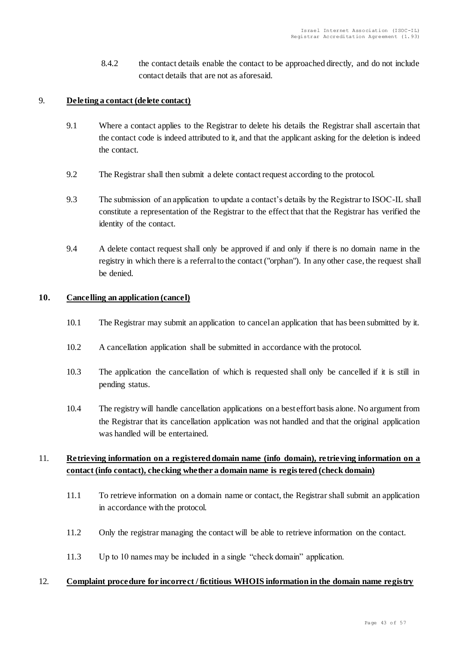8.4.2 the contact details enable the contact to be approached directly, and do not include contact details that are not as aforesaid.

# 9. **Deleting a contact (delete contact)**

- 9.1 Where a contact applies to the Registrar to delete his details the Registrar shall ascertain that the contact code is indeed attributed to it, and that the applicant asking for the deletion is indeed the contact.
- 9.2 The Registrar shall then submit a delete contact request according to the protocol.
- 9.3 The submission of an application to update a contact's details by the Registrar to ISOC-IL shall constitute a representation of the Registrar to the effect that that the Registrar has verified the identity of the contact.
- 9.4 A delete contact request shall only be approved if and only if there is no domain name in the registry in which there is a referral to the contact ("orphan"). In any other case, the request shall be denied.

#### **10. Cancelling an application (cancel)**

- 10.1 The Registrar may submit an application to cancel an application that has been submitted by it.
- 10.2 A cancellation application shall be submitted in accordance with the protocol.
- 10.3 The application the cancellation of which is requested shall only be cancelled if it is still in pending status.
- 10.4 The registry will handle cancellation applications on a best effort basis alone. No argument from the Registrar that its cancellation application was not handled and that the original application was handled will be entertained.

# 11. **Retrieving information on a registered domain name (info domain), retrieving information on a contact (info contact), checking whether a domain name is registered (check domain)**

- 11.1 To retrieve information on a domain name or contact, the Registrar shall submit an application in accordance with the protocol.
- 11.2 Only the registrar managing the contact will be able to retrieve information on the contact.
- 11.3 Up to 10 names may be included in a single "check domain" application.

#### 12. **Complaint procedure for incorrect / fictitious WHOIS information in the domain name registry**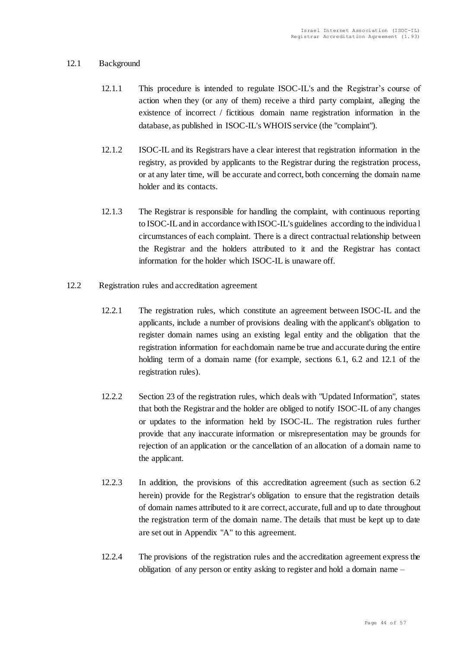### 12.1 Background

- 12.1.1 This procedure is intended to regulate ISOC-IL's and the Registrar's course of action when they (or any of them) receive a third party complaint, alleging the existence of incorrect / fictitious domain name registration information in the database, as published in ISOC-IL's WHOIS service (the "complaint").
- 12.1.2 ISOC-IL and its Registrars have a clear interest that registration information in the registry, as provided by applicants to the Registrar during the registration process, or at any later time, will be accurate and correct, both concerning the domain name holder and its contacts.
- 12.1.3 The Registrar is responsible for handling the complaint, with continuous reporting to ISOC-IL and in accordance with ISOC-IL's guidelines according to the individua l circumstances of each complaint. There is a direct contractual relationship between the Registrar and the holders attributed to it and the Registrar has contact information for the holder which ISOC-IL is unaware off.
- 12.2 Registration rules and accreditation agreement
	- 12.2.1 The registration rules, which constitute an agreement between ISOC-IL and the applicants, include a number of provisions dealing with the applicant's obligation to register domain names using an existing legal entity and the obligation that the registration information for each domain name be true and accurate during the entire holding term of a domain name (for example, sections 6.1, 6.2 and 12.1 of the registration rules).
	- 12.2.2 Section 23 of the registration rules, which deals with "Updated Information", states that both the Registrar and the holder are obliged to notify ISOC-IL of any changes or updates to the information held by ISOC-IL. The registration rules further provide that any inaccurate information or misrepresentation may be grounds for rejection of an application or the cancellation of an allocation of a domain name to the applicant.
	- 12.2.3 In addition, the provisions of this accreditation agreement (such as section 6.2 herein) provide for the Registrar's obligation to ensure that the registration details of domain names attributed to it are correct, accurate, full and up to date throughout the registration term of the domain name. The details that must be kept up to date are set out in Appendix "A" to this agreement.
	- 12.2.4 The provisions of the registration rules and the accreditation agreement express the obligation of any person or entity asking to register and hold a domain name –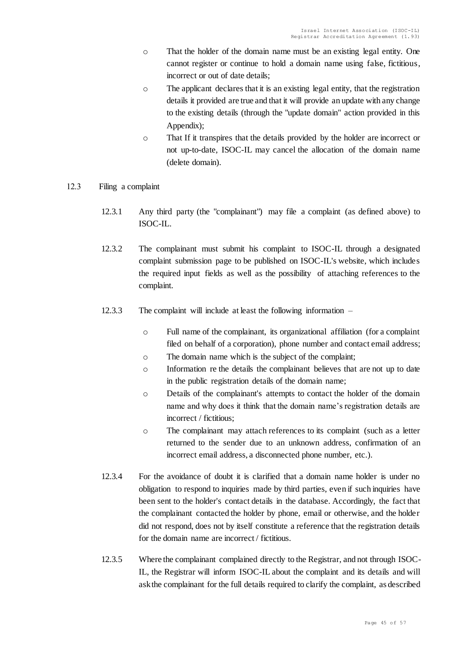- o That the holder of the domain name must be an existing legal entity. One cannot register or continue to hold a domain name using false, fictitious, incorrect or out of date details;
- o The applicant declares that it is an existing legal entity, that the registration details it provided are true and that it will provide an update with any change to the existing details (through the "update domain" action provided in this Appendix);
- o That If it transpires that the details provided by the holder are incorrect or not up-to-date, ISOC-IL may cancel the allocation of the domain name (delete domain).
- 12.3 Filing a complaint
	- 12.3.1 Any third party (the "complainant") may file a complaint (as defined above) to ISOC-IL.
	- 12.3.2 The complainant must submit his complaint to ISOC-IL through a designated complaint submission page to be published on ISOC-IL's website, which includes the required input fields as well as the possibility of attaching references to the complaint.
	- 12.3.3 The complaint will include at least the following information
		- o Full name of the complainant, its organizational affiliation (for a complaint filed on behalf of a corporation), phone number and contact email address;
		- o The domain name which is the subject of the complaint;
		- o Information re the details the complainant believes that are not up to date in the public registration details of the domain name;
		- o Details of the complainant's attempts to contact the holder of the domain name and why does it think that the domain name's registration details are incorrect / fictitious;
		- o The complainant may attach references to its complaint (such as a letter returned to the sender due to an unknown address, confirmation of an incorrect email address, a disconnected phone number, etc.).
	- 12.3.4 For the avoidance of doubt it is clarified that a domain name holder is under no obligation to respond to inquiries made by third parties, even if such inquiries have been sent to the holder's contact details in the database. Accordingly, the fact that the complainant contacted the holder by phone, email or otherwise, and the holder did not respond, does not by itself constitute a reference that the registration details for the domain name are incorrect / fictitious.
	- 12.3.5 Where the complainant complained directly to the Registrar, and not through ISOC-IL, the Registrar will inform ISOC-IL about the complaint and its details and will ask the complainant for the full details required to clarify the complaint, as described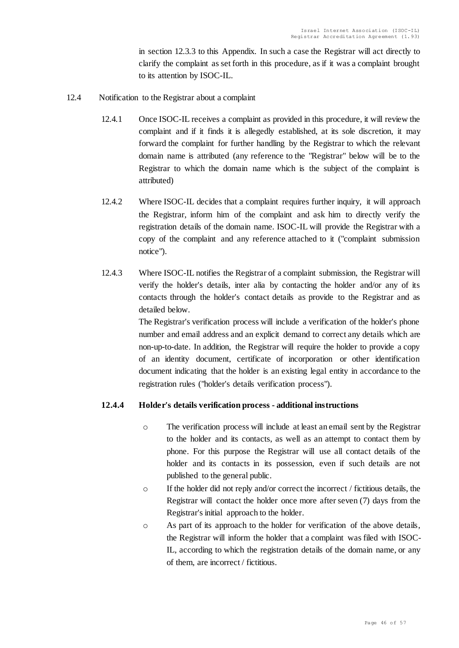in section 12.3.3 to this Appendix. In such a case the Registrar will act directly to clarify the complaint as set forth in this procedure, as if it was a complaint brought to its attention by ISOC-IL.

- 12.4 Notification to the Registrar about a complaint
	- 12.4.1 Once ISOC-IL receives a complaint as provided in this procedure, it will review the complaint and if it finds it is allegedly established, at its sole discretion, it may forward the complaint for further handling by the Registrar to which the relevant domain name is attributed (any reference to the "Registrar" below will be to the Registrar to which the domain name which is the subject of the complaint is attributed)
	- 12.4.2 Where ISOC-IL decides that a complaint requires further inquiry, it will approach the Registrar, inform him of the complaint and ask him to directly verify the registration details of the domain name. ISOC-IL will provide the Registrar with a copy of the complaint and any reference attached to it ("complaint submission notice").
	- 12.4.3 Where ISOC-IL notifies the Registrar of a complaint submission, the Registrar will verify the holder's details, inter alia by contacting the holder and/or any of its contacts through the holder's contact details as provide to the Registrar and as detailed below.

The Registrar's verification process will include a verification of the holder's phone number and email address and an explicit demand to correct any details which are non-up-to-date. In addition, the Registrar will require the holder to provide a copy of an identity document, certificate of incorporation or other identification document indicating that the holder is an existing legal entity in accordance to the registration rules ("holder's details verification process").

# **12.4.4 Holder's details verification process - additional instructions**

- o The verification process will include at least an email sent by the Registrar to the holder and its contacts, as well as an attempt to contact them by phone. For this purpose the Registrar will use all contact details of the holder and its contacts in its possession, even if such details are not published to the general public.
- o If the holder did not reply and/or correct the incorrect / fictitious details, the Registrar will contact the holder once more after seven (7) days from the Registrar's initial approach to the holder.
- o As part of its approach to the holder for verification of the above details, the Registrar will inform the holder that a complaint was filed with ISOC-IL, according to which the registration details of the domain name, or any of them, are incorrect / fictitious.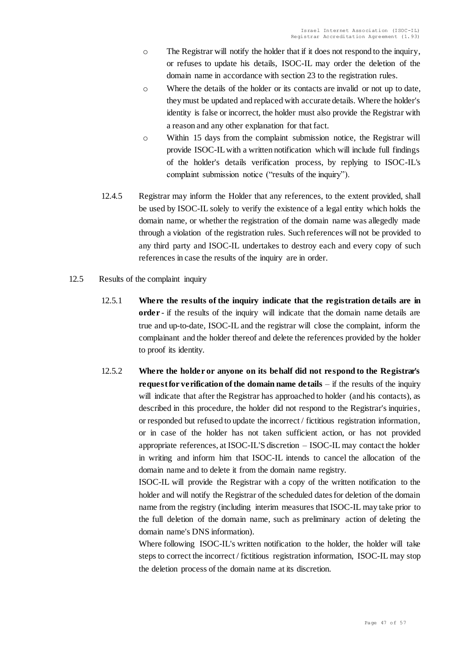- $\circ$  The Registrar will notify the holder that if it does not respond to the inquiry, or refuses to update his details, ISOC-IL may order the deletion of the domain name in accordance with section 23 to the registration rules.
- $\circ$  Where the details of the holder or its contacts are invalid or not up to date, they must be updated and replaced with accurate details. Where the holder's identity is false or incorrect, the holder must also provide the Registrar with a reason and any other explanation for that fact.
- o Within 15 days from the complaint submission notice, the Registrar will provide ISOC-IL with a written notification which will include full findings of the holder's details verification process, by replying to ISOC-IL's complaint submission notice ("results of the inquiry").
- 12.4.5 Registrar may inform the Holder that any references, to the extent provided, shall be used by ISOC-IL solely to verify the existence of a legal entity which holds the domain name, or whether the registration of the domain name was allegedly made through a violation of the registration rules. Such references will not be provided to any third party and ISOC-IL undertakes to destroy each and every copy of such references in case the results of the inquiry are in order.
- 12.5 Results of the complaint inquiry
	- 12.5.1 **Where the results of the inquiry indicate that the registration details are in order** - if the results of the inquiry will indicate that the domain name details are true and up-to-date, ISOC-IL and the registrar will close the complaint, inform the complainant and the holder thereof and delete the references provided by the holder to proof its identity.
	- 12.5.2 **Where the holder or anyone on its behalf did not respond to the Registrar's request for verification of the domain name details** – if the results of the inquiry will indicate that after the Registrar has approached to holder (and his contacts), as described in this procedure, the holder did not respond to the Registrar's inquiries, or responded but refused to update the incorrect / fictitious registration information, or in case of the holder has not taken sufficient action, or has not provided appropriate references, at ISOC-IL'S discretion – ISOC-IL may contact the holder in writing and inform him that ISOC-IL intends to cancel the allocation of the domain name and to delete it from the domain name registry.

ISOC-IL will provide the Registrar with a copy of the written notification to the holder and will notify the Registrar of the scheduled dates for deletion of the domain name from the registry (including interim measures that ISOC-IL may take prior to the full deletion of the domain name, such as preliminary action of deleting the domain name's DNS information).

Where following ISOC-IL's written notification to the holder, the holder will take steps to correct the incorrect / fictitious registration information, ISOC-IL may stop the deletion process of the domain name at its discretion.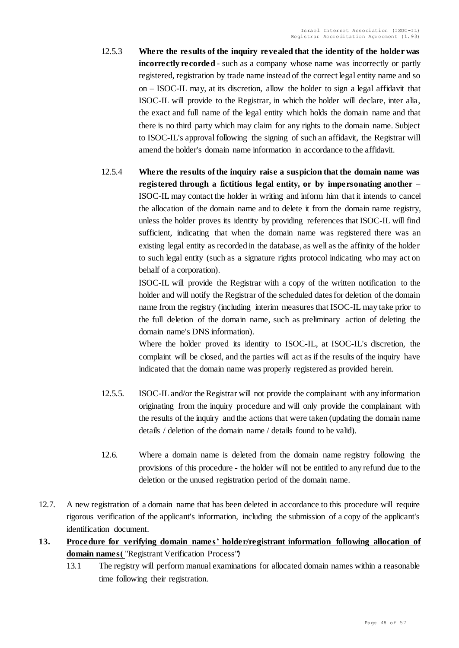- 12.5.3 **Where the results of the inquiry revealed that the identity of the holder was incorrectly recorded** - such as a company whose name was incorrectly or partly registered, registration by trade name instead of the correct legal entity name and so on – ISOC-IL may, at its discretion, allow the holder to sign a legal affidavit that ISOC-IL will provide to the Registrar, in which the holder will declare, inter alia, the exact and full name of the legal entity which holds the domain name and that there is no third party which may claim for any rights to the domain name. Subject to ISOC-IL's approval following the signing of such an affidavit, the Registrar will amend the holder's domain name information in accordance to the affidavit.
- 12.5.4 **Where the results of the inquiry raise a suspicion that the domain name was registered through a fictitious legal entity, or by impersonating another** – ISOC-IL may contact the holder in writing and inform him that it intends to cancel the allocation of the domain name and to delete it from the domain name registry, unless the holder proves its identity by providing references that ISOC-IL will find sufficient, indicating that when the domain name was registered there was an existing legal entity as recorded in the database, as well as the affinity of the holder to such legal entity (such as a signature rights protocol indicating who may act on behalf of a corporation).

ISOC-IL will provide the Registrar with a copy of the written notification to the holder and will notify the Registrar of the scheduled dates for deletion of the domain name from the registry (including interim measures that ISOC-IL may take prior to the full deletion of the domain name, such as preliminary action of deleting the domain name's DNS information).

Where the holder proved its identity to ISOC-IL, at ISOC-IL's discretion, the complaint will be closed, and the parties will act as if the results of the inquiry have indicated that the domain name was properly registered as provided herein.

- 12.5.5. ISOC-ILand/or the Registrar will not provide the complainant with any information originating from the inquiry procedure and will only provide the complainant with the results of the inquiry and the actions that were taken (updating the domain name details / deletion of the domain name / details found to be valid).
- 12.6. Where a domain name is deleted from the domain name registry following the provisions of this procedure - the holder will not be entitled to any refund due to the deletion or the unused registration period of the domain name.
- 12.7. A new registration of a domain name that has been deleted in accordance to this procedure will require rigorous verification of the applicant's information, including the submission of a copy of the applicant's identification document.
- **13. Procedure for verifying domain names' holder/registrant information following allocation of**  domain names ("Registrant Verification Process")
	- 13.1 The registry will perform manual examinations for allocated domain names within a reasonable time following their registration.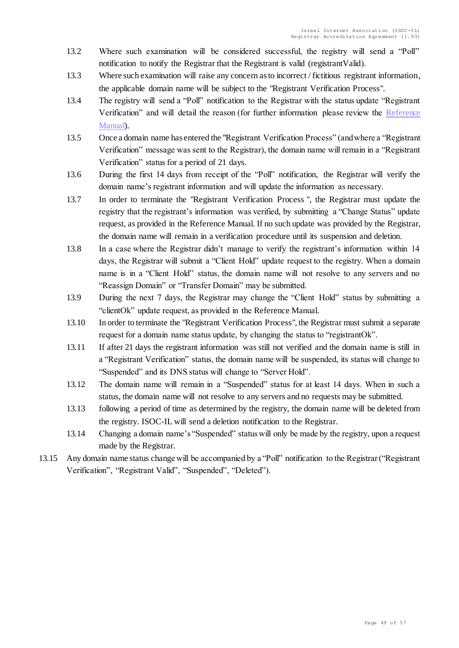- 13.2 Where such examination will be considered successful, the registry will send a "Poll" notification to notify the Registrar that the Registrant is valid (registrant Valid).
- 13.3 Where such examination will raise any concern as to incorrect / fictitious registrant information, the applicable domain name will be subject to the "Registrant Verification Process".
- 13.4 The registry will send a "Poll" notification to the Registrar with the status update "Registrant Verification" and will detail the reason (for further information please review the [Reference](https://docs.register.isoc.org.il/v4/appendix/registrant-verification/#appendix-f-registrant-verification-process)  [Manual\)](https://docs.register.isoc.org.il/v4/appendix/registrant-verification/#appendix-f-registrant-verification-process).
- 13.5 Once a domain name has entered the "Registrant Verification Process" (and where a "Registrant Verification" message was sent to the Registrar), the domain name will remain in a "Registrant Verification" status for a period of 21 days.
- 13.6 During the first 14 days from receipt of the "Poll" notification, the Registrar will verify the domain name's registrant information and will update the information as necessary.
- 13.7 In order to terminate the "Registrant Verification Process ", the Registrar must update the registry that the registrant's information was verified, by submitting a "Change Status" update request, as provided in the Reference Manual. If no such update was provided by the Registrar, the domain name will remain in a verification procedure until its suspension and deletion.
- 13.8 In a case where the Registrar didn't manage to verify the registrant's information within 14 days, the Registrar will submit a "Client Hold" update request to the registry. When a domain name is in a "Client Hold" status, the domain name will not resolve to any servers and no "Reassign Domain" or "Transfer Domain" may be submitted.
- 13.9 During the next 7 days, the Registrar may change the "Client Hold" status by submitting a "clientOk" update request, as provided in the Reference Manual.
- 13.10 In order to terminate the "Registrant Verification Process", the Registrar must submit a separate request for a domain name status update, by changing the status to "registrantOk".
- 13.11 If after 21 days the registrant information was still not verified and the domain name is still in a "Registrant Verification" status, the domain name will be suspended, its status will change to "Suspended" and its DNS status will change to "Server Hold".
- 13.12 The domain name will remain in a "Suspended" status for at least 14 days. When in such a status, the domain name will not resolve to any servers and no requests may be submitted.
- 13.13 following a period of time as determined by the registry, the domain name will be deleted from the registry. ISOC-IL will send a deletion notification to the Registrar.
- 13.14 Changing a domain name's "Suspended" status will only be made by the registry, upon a request made by the Registrar.
- 13.15 Any domain name status change will be accompanied by a "Poll" notification to the Registrar ("Registrant Verification", "Registrant Valid", "Suspended", "Deleted").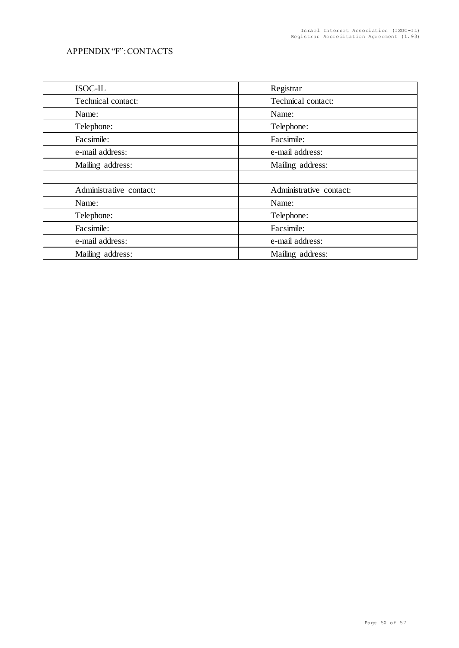# APPENDIX "F": CONTACTS

| <b>ISOC-IL</b>          | Registrar               |
|-------------------------|-------------------------|
| Technical contact:      | Technical contact:      |
| Name:                   | Name:                   |
| Telephone:              | Telephone:              |
| Facsimile:              | Facsimile:              |
| e-mail address:         | e-mail address:         |
| Mailing address:        | Mailing address:        |
|                         |                         |
| Administrative contact: | Administrative contact: |
| Name:                   | Name:                   |
| Telephone:              | Telephone:              |
| Facsimile:              | Facsimile:              |
| e-mail address:         | e-mail address:         |
| Mailing address:        | Mailing address:        |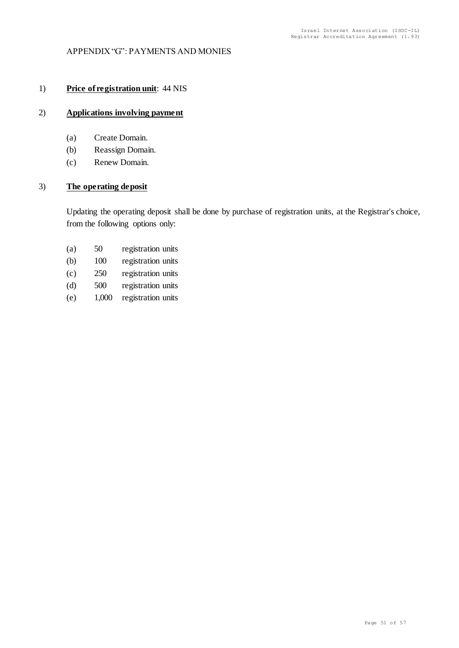### APPENDIX "G": PAYMENTS AND MONIES

# 1) **Price of registration unit**: 44 NIS

### 2) **Applications involving payment**

- (a) Create Domain.
- (b) Reassign Domain.
- (c) Renew Domain.

#### 3) **The operating deposit**

Updating the operating deposit shall be done by purchase of registration units, at the Registrar's choice, from the following options only:

| (a) | 50  | registration units |
|-----|-----|--------------------|
| (b) | 100 | registration units |

- (c) 250 registration units
- (d) 500 registration units
- (e) 1,000 registration units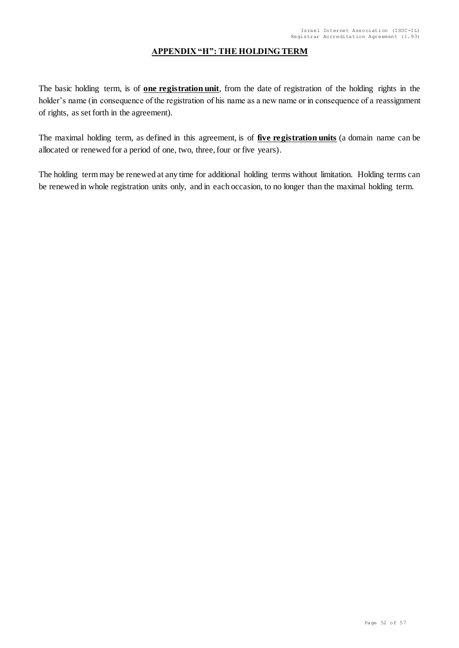# **APPENDIX "H": THE HOLDING TERM**

The basic holding term, is of **one registration unit**, from the date of registration of the holding rights in the holder's name (in consequence of the registration of his name as a new name or in consequence of a reassignment of rights, as set forth in the agreement).

The maximal holding term, as defined in this agreement, is of **five registration units** (a domain name can be allocated or renewed for a period of one, two, three, four or five years).

The holding term may be renewed at any time for additional holding terms without limitation. Holding terms can be renewed in whole registration units only, and in each occasion, to no longer than the maximal holding term.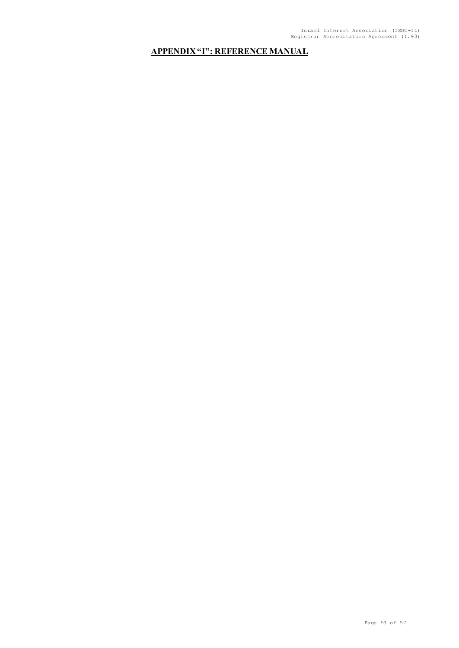# **APPENDIX "I": REFERENCE MANUAL**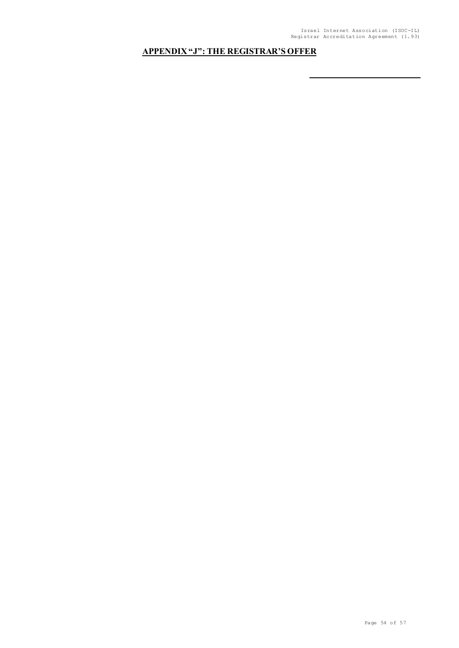# **APPENDIX "J": THE REGISTRAR'S OFFER**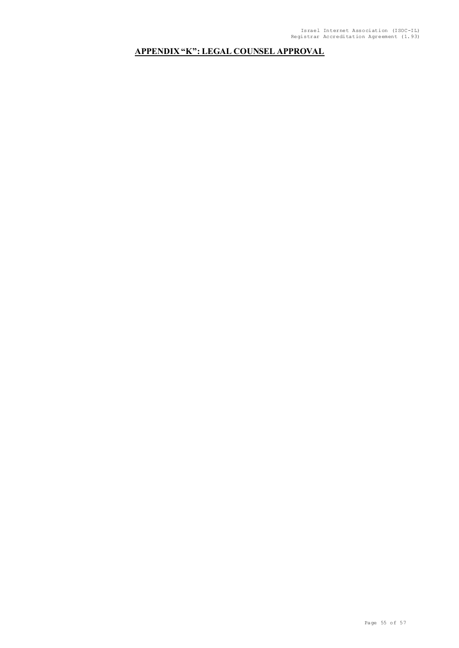# **APPENDIX "K": LEGAL COUNSEL APPROVAL**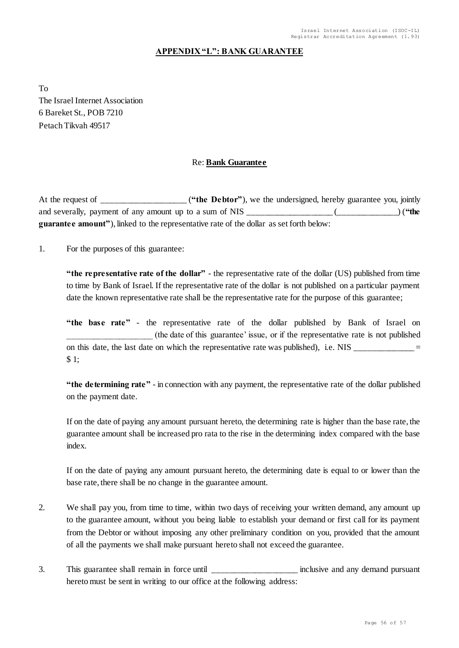### **APPENDIX "L": BANK GUARANTEE**

To The Israel Internet Association 6 Bareket St., POB 7210 Petach Tikvah 49517

### Re: **Bank Guarantee**

At the request of \_\_\_\_\_\_\_\_\_\_\_\_\_\_\_\_\_\_\_\_\_ ("the Debtor"), we the undersigned, hereby guarantee you, jointly and severally, payment of any amount up to a sum of NIS \_\_\_\_\_\_\_\_\_\_\_\_\_\_\_\_\_\_\_\_ (\_\_\_\_\_\_\_\_\_\_\_\_\_\_) (**"the guarantee amount"**), linked to the representative rate of the dollar as set forth below:

1. For the purposes of this guarantee:

**"the representative rate of the dollar"** - the representative rate of the dollar (US) published from time to time by Bank of Israel. If the representative rate of the dollar is not published on a particular payment date the known representative rate shall be the representative rate for the purpose of this guarantee;

**"the base rate"** - the representative rate of the dollar published by Bank of Israel on \_\_\_\_\_\_\_\_\_\_\_\_\_\_\_\_\_\_\_\_ (the date of this guarantee' issue, or if the representative rate is not published on this date, the last date on which the representative rate was published), i.e.  $NIS$  \_\_\_\_\_\_\_\_\_\_\_\_\_\_\_\_\_\_\_\_ \$ 1;

**"the determining rate"** - in connection with any payment, the representative rate of the dollar published on the payment date.

If on the date of paying any amount pursuant hereto, the determining rate is higher than the base rate, the guarantee amount shall be increased pro rata to the rise in the determining index compared with the base index.

If on the date of paying any amount pursuant hereto, the determining date is equal to or lower than the base rate, there shall be no change in the guarantee amount.

- 2. We shall pay you, from time to time, within two days of receiving your written demand, any amount up to the guarantee amount, without you being liable to establish your demand or first call for its payment from the Debtor or without imposing any other preliminary condition on you, provided that the amount of all the payments we shall make pursuant hereto shall not exceed the guarantee.
- 3. This guarantee shall remain in force until the set of the second any demand pursuant hereto must be sent in writing to our office at the following address: